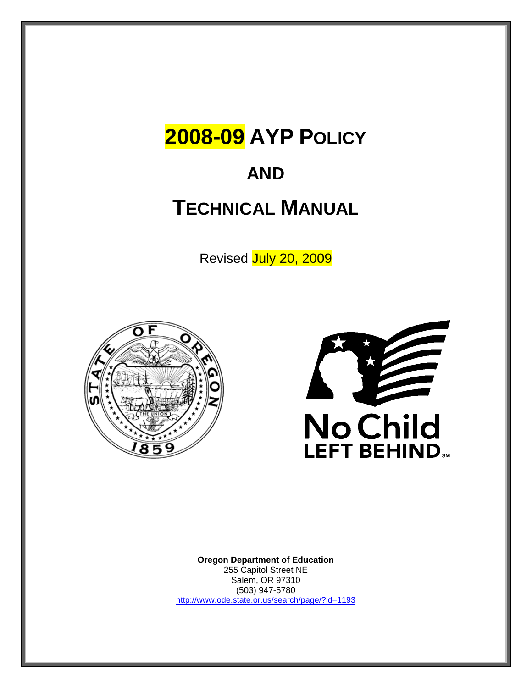# **2008-09 AYP POLICY**

# **AND**

# **TECHNICAL MANUAL**

Revised July 20, 2009





**Oregon Department of Education** 255 Capitol Street NE Salem, OR 97310 (503) 947-5780 http://www.ode.state.or.us/search/page/?id=1193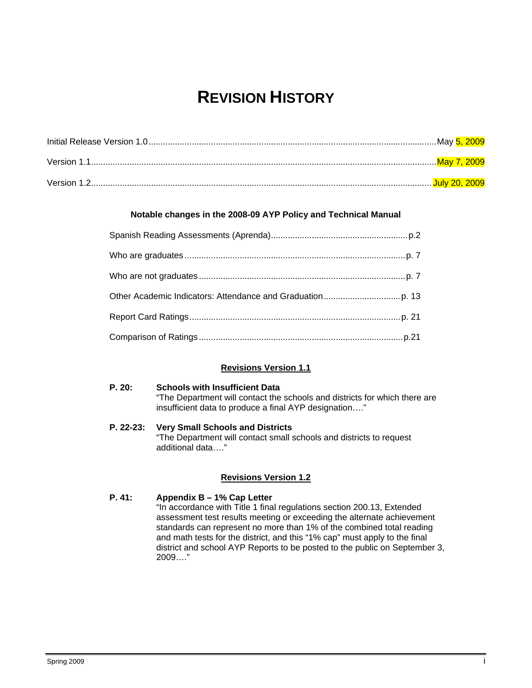# **REVISION HISTORY**

#### **Notable changes in the 2008-09 AYP Policy and Technical Manual**

#### **Revisions Version 1.1**

#### **P. 20: Schools with Insufficient Data**  "The Department will contact the schools and districts for which there are insufficient data to produce a final AYP designation…."

**P. 22-23: Very Small Schools and Districts**  "The Department will contact small schools and districts to request additional data…."

#### **Revisions Version 1.2**

#### **P. 41: Appendix B – 1% Cap Letter**

"In accordance with Title 1 final regulations section 200.13, Extended assessment test results meeting or exceeding the alternate achievement standards can represent no more than 1% of the combined total reading and math tests for the district, and this "1% cap" must apply to the final district and school AYP Reports to be posted to the public on September 3, 2009…."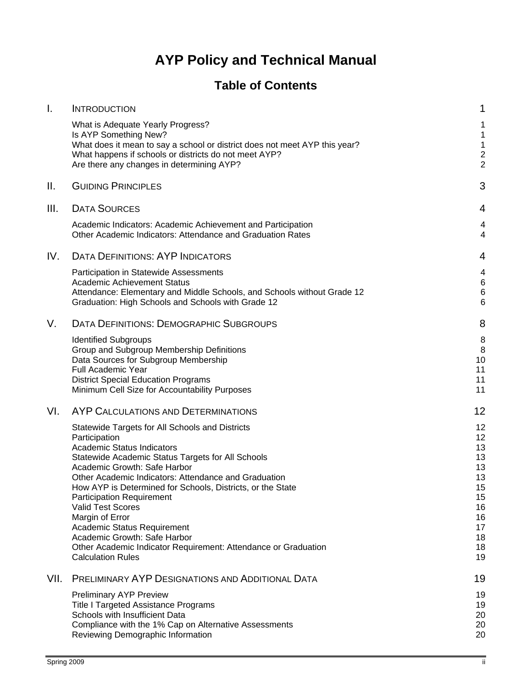# **AYP Policy and Technical Manual**

# **Table of Contents**

| $\mathbf{I}$ . | <b>INTRODUCTION</b>                                                                                                                                                                                                                                                                                                                                                                                                                                                                                                                                              | 1                                                                                |
|----------------|------------------------------------------------------------------------------------------------------------------------------------------------------------------------------------------------------------------------------------------------------------------------------------------------------------------------------------------------------------------------------------------------------------------------------------------------------------------------------------------------------------------------------------------------------------------|----------------------------------------------------------------------------------|
|                | What is Adequate Yearly Progress?<br>Is AYP Something New?<br>What does it mean to say a school or district does not meet AYP this year?<br>What happens if schools or districts do not meet AYP?<br>Are there any changes in determining AYP?                                                                                                                                                                                                                                                                                                                   | 1<br>1<br>1<br>$\frac{2}{2}$                                                     |
| Ш.             | <b>GUIDING PRINCIPLES</b>                                                                                                                                                                                                                                                                                                                                                                                                                                                                                                                                        | 3                                                                                |
| III.           | <b>DATA SOURCES</b>                                                                                                                                                                                                                                                                                                                                                                                                                                                                                                                                              | 4                                                                                |
|                | Academic Indicators: Academic Achievement and Participation<br>Other Academic Indicators: Attendance and Graduation Rates                                                                                                                                                                                                                                                                                                                                                                                                                                        | 4<br>4                                                                           |
| IV.            | <b>DATA DEFINITIONS: AYP INDICATORS</b>                                                                                                                                                                                                                                                                                                                                                                                                                                                                                                                          | 4                                                                                |
|                | Participation in Statewide Assessments<br><b>Academic Achievement Status</b><br>Attendance: Elementary and Middle Schools, and Schools without Grade 12<br>Graduation: High Schools and Schools with Grade 12                                                                                                                                                                                                                                                                                                                                                    | 4<br>6<br>6<br>6                                                                 |
| V.             | DATA DEFINITIONS: DEMOGRAPHIC SUBGROUPS                                                                                                                                                                                                                                                                                                                                                                                                                                                                                                                          | 8                                                                                |
|                | <b>Identified Subgroups</b><br>Group and Subgroup Membership Definitions<br>Data Sources for Subgroup Membership<br>Full Academic Year<br><b>District Special Education Programs</b><br>Minimum Cell Size for Accountability Purposes                                                                                                                                                                                                                                                                                                                            | 8<br>8<br>10<br>11<br>11<br>11                                                   |
| VI.            | AYP CALCULATIONS AND DETERMINATIONS                                                                                                                                                                                                                                                                                                                                                                                                                                                                                                                              | 12                                                                               |
|                | Statewide Targets for All Schools and Districts<br>Participation<br><b>Academic Status Indicators</b><br>Statewide Academic Status Targets for All Schools<br>Academic Growth: Safe Harbor<br>Other Academic Indicators: Attendance and Graduation<br>How AYP is Determined for Schools, Districts, or the State<br><b>Participation Requirement</b><br><b>Valid Test Scores</b><br>Margin of Error<br>Academic Status Requirement<br>Academic Growth: Safe Harbor<br>Other Academic Indicator Requirement: Attendance or Graduation<br><b>Calculation Rules</b> | 12<br>12<br>13<br>13<br>13<br>13<br>15<br>15<br>16<br>16<br>17<br>18<br>18<br>19 |
| VII.           | PRELIMINARY AYP DESIGNATIONS AND ADDITIONAL DATA                                                                                                                                                                                                                                                                                                                                                                                                                                                                                                                 | 19                                                                               |
|                | <b>Preliminary AYP Preview</b><br><b>Title I Targeted Assistance Programs</b><br>Schools with Insufficient Data<br>Compliance with the 1% Cap on Alternative Assessments<br>Reviewing Demographic Information                                                                                                                                                                                                                                                                                                                                                    | 19<br>19<br>20<br>20<br>20                                                       |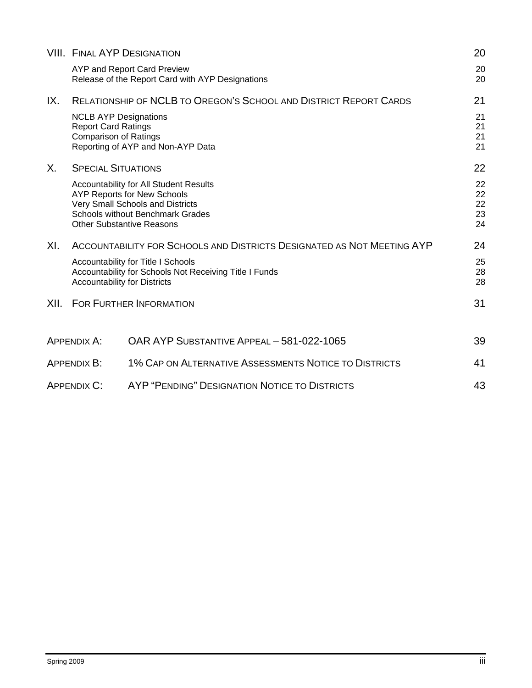|      |                                                                                            | <b>VIII. FINAL AYP DESIGNATION</b>                                                                                                                                                              | 20                         |
|------|--------------------------------------------------------------------------------------------|-------------------------------------------------------------------------------------------------------------------------------------------------------------------------------------------------|----------------------------|
|      |                                                                                            | AYP and Report Card Preview<br>Release of the Report Card with AYP Designations                                                                                                                 | 20<br>20                   |
| IX.  |                                                                                            | <b>RELATIONSHIP OF NCLB TO OREGON'S SCHOOL AND DISTRICT REPORT CARDS</b>                                                                                                                        | 21                         |
|      | <b>NCLB AYP Designations</b><br><b>Report Card Ratings</b><br><b>Comparison of Ratings</b> | Reporting of AYP and Non-AYP Data                                                                                                                                                               | 21<br>21<br>21<br>21       |
| X.   | <b>SPECIAL SITUATIONS</b>                                                                  |                                                                                                                                                                                                 | 22                         |
|      |                                                                                            | Accountability for All Student Results<br><b>AYP Reports for New Schools</b><br>Very Small Schools and Districts<br><b>Schools without Benchmark Grades</b><br><b>Other Substantive Reasons</b> | 22<br>22<br>22<br>23<br>24 |
| XI.  |                                                                                            | ACCOUNTABILITY FOR SCHOOLS AND DISTRICTS DESIGNATED AS NOT MEETING AYP                                                                                                                          | 24                         |
|      | <b>Accountability for Districts</b>                                                        | Accountability for Title I Schools<br>Accountability for Schools Not Receiving Title I Funds                                                                                                    | 25<br>28<br>28             |
| XII. |                                                                                            | <b>FOR FURTHER INFORMATION</b>                                                                                                                                                                  | 31                         |
|      | <b>APPENDIX A:</b>                                                                         | OAR AYP SUBSTANTIVE APPEAL - 581-022-1065                                                                                                                                                       | 39                         |
|      | APPENDIX B:                                                                                | 1% CAP ON ALTERNATIVE ASSESSMENTS NOTICE TO DISTRICTS                                                                                                                                           | 41                         |
|      | AYP "PENDING" DESIGNATION NOTICE TO DISTRICTS<br><b>APPENDIX C:</b>                        |                                                                                                                                                                                                 |                            |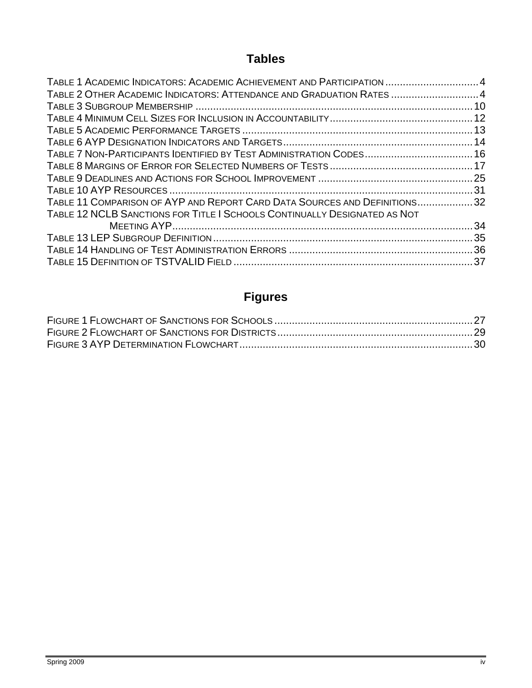# **Tables**

| TABLE 1 ACADEMIC INDICATORS: ACADEMIC ACHIEVEMENT AND PARTICIPATION 4     |  |
|---------------------------------------------------------------------------|--|
| TABLE 2 OTHER ACADEMIC INDICATORS: ATTENDANCE AND GRADUATION RATES 4      |  |
|                                                                           |  |
|                                                                           |  |
|                                                                           |  |
|                                                                           |  |
| TABLE 7 NON-PARTICIPANTS IDENTIFIED BY TEST ADMINISTRATION CODES 16       |  |
|                                                                           |  |
|                                                                           |  |
|                                                                           |  |
| TABLE 11 COMPARISON OF AYP AND REPORT CARD DATA SOURCES AND DEFINITIONS32 |  |
| TABLE 12 NCLB SANCTIONS FOR TITLE I SCHOOLS CONTINUALLY DESIGNATED AS NOT |  |
|                                                                           |  |
|                                                                           |  |
|                                                                           |  |
|                                                                           |  |

# **Figures**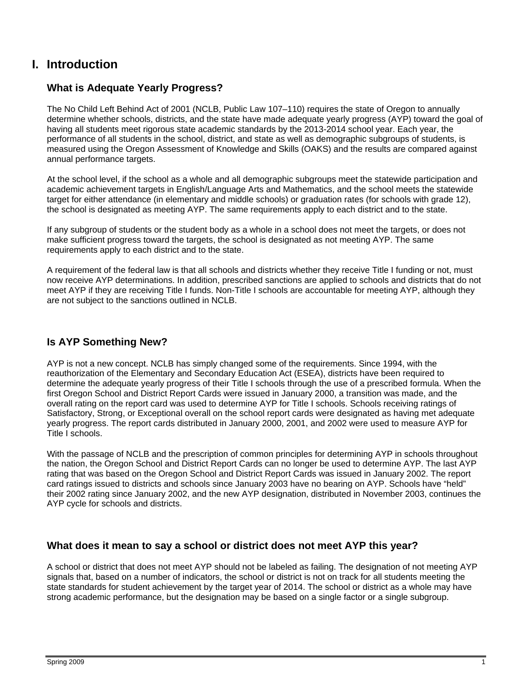## **I. Introduction**

## **What is Adequate Yearly Progress?**

The No Child Left Behind Act of 2001 (NCLB, Public Law 107–110) requires the state of Oregon to annually determine whether schools, districts, and the state have made adequate yearly progress (AYP) toward the goal of having all students meet rigorous state academic standards by the 2013-2014 school year. Each year, the performance of all students in the school, district, and state as well as demographic subgroups of students, is measured using the Oregon Assessment of Knowledge and Skills (OAKS) and the results are compared against annual performance targets.

At the school level, if the school as a whole and all demographic subgroups meet the statewide participation and academic achievement targets in English/Language Arts and Mathematics, and the school meets the statewide target for either attendance (in elementary and middle schools) or graduation rates (for schools with grade 12), the school is designated as meeting AYP. The same requirements apply to each district and to the state.

If any subgroup of students or the student body as a whole in a school does not meet the targets, or does not make sufficient progress toward the targets, the school is designated as not meeting AYP. The same requirements apply to each district and to the state.

A requirement of the federal law is that all schools and districts whether they receive Title I funding or not, must now receive AYP determinations. In addition, prescribed sanctions are applied to schools and districts that do not meet AYP if they are receiving Title I funds. Non-Title I schools are accountable for meeting AYP, although they are not subject to the sanctions outlined in NCLB.

## **Is AYP Something New?**

AYP is not a new concept. NCLB has simply changed some of the requirements. Since 1994, with the reauthorization of the Elementary and Secondary Education Act (ESEA), districts have been required to determine the adequate yearly progress of their Title I schools through the use of a prescribed formula. When the first Oregon School and District Report Cards were issued in January 2000, a transition was made, and the overall rating on the report card was used to determine AYP for Title I schools. Schools receiving ratings of Satisfactory, Strong, or Exceptional overall on the school report cards were designated as having met adequate yearly progress. The report cards distributed in January 2000, 2001, and 2002 were used to measure AYP for Title I schools.

With the passage of NCLB and the prescription of common principles for determining AYP in schools throughout the nation, the Oregon School and District Report Cards can no longer be used to determine AYP. The last AYP rating that was based on the Oregon School and District Report Cards was issued in January 2002. The report card ratings issued to districts and schools since January 2003 have no bearing on AYP. Schools have "held" their 2002 rating since January 2002, and the new AYP designation, distributed in November 2003, continues the AYP cycle for schools and districts.

#### **What does it mean to say a school or district does not meet AYP this year?**

A school or district that does not meet AYP should not be labeled as failing. The designation of not meeting AYP signals that, based on a number of indicators, the school or district is not on track for all students meeting the state standards for student achievement by the target year of 2014. The school or district as a whole may have strong academic performance, but the designation may be based on a single factor or a single subgroup.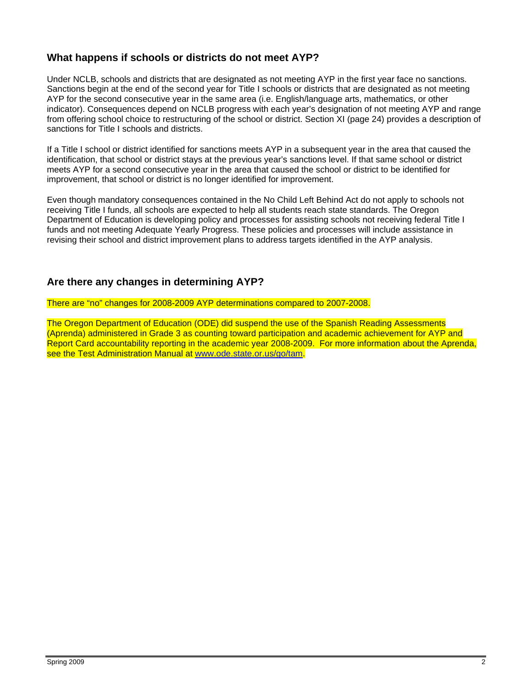## **What happens if schools or districts do not meet AYP?**

Under NCLB, schools and districts that are designated as not meeting AYP in the first year face no sanctions. Sanctions begin at the end of the second year for Title I schools or districts that are designated as not meeting AYP for the second consecutive year in the same area (i.e. English/language arts, mathematics, or other indicator). Consequences depend on NCLB progress with each year's designation of not meeting AYP and range from offering school choice to restructuring of the school or district. Section XI (page 24) provides a description of sanctions for Title I schools and districts.

If a Title I school or district identified for sanctions meets AYP in a subsequent year in the area that caused the identification, that school or district stays at the previous year's sanctions level. If that same school or district meets AYP for a second consecutive year in the area that caused the school or district to be identified for improvement, that school or district is no longer identified for improvement.

Even though mandatory consequences contained in the No Child Left Behind Act do not apply to schools not receiving Title I funds, all schools are expected to help all students reach state standards. The Oregon Department of Education is developing policy and processes for assisting schools not receiving federal Title I funds and not meeting Adequate Yearly Progress. These policies and processes will include assistance in revising their school and district improvement plans to address targets identified in the AYP analysis.

## **Are there any changes in determining AYP?**

There are "no" changes for 2008-2009 AYP determinations compared to 2007-2008.

The Oregon Department of Education (ODE) did suspend the use of the Spanish Reading Assessments (Aprenda) administered in Grade 3 as counting toward participation and academic achievement for AYP and Report Card accountability reporting in the academic year 2008-2009. For more information about the Aprenda, see the Test Administration Manual at www.ode.state.or.us/go/tam.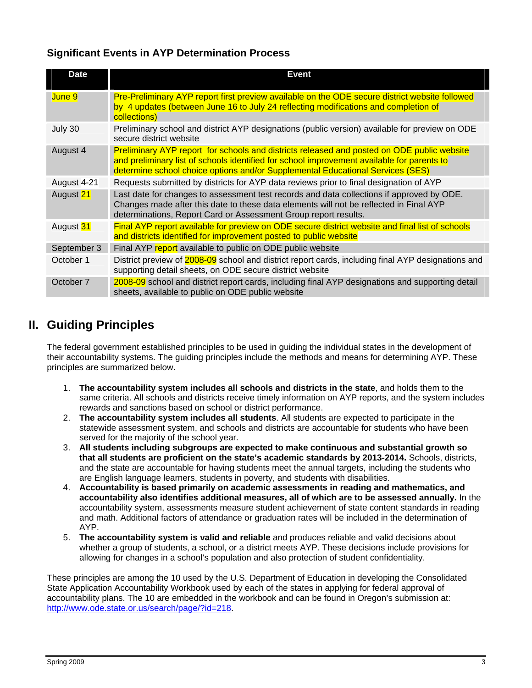## **Significant Events in AYP Determination Process**

| <b>Date</b> | <b>Event</b>                                                                                                                                                                                                                                                               |
|-------------|----------------------------------------------------------------------------------------------------------------------------------------------------------------------------------------------------------------------------------------------------------------------------|
| June 9      | Pre-Preliminary AYP report first preview available on the ODE secure district website followed<br>by 4 updates (between June 16 to July 24 reflecting modifications and completion of<br>collections)                                                                      |
| July 30     | Preliminary school and district AYP designations (public version) available for preview on ODE<br>secure district website                                                                                                                                                  |
| August 4    | Preliminary AYP report for schools and districts released and posted on ODE public website<br>and preliminary list of schools identified for school improvement available for parents to<br>determine school choice options and/or Supplemental Educational Services (SES) |
| August 4-21 | Requests submitted by districts for AYP data reviews prior to final designation of AYP                                                                                                                                                                                     |
| August 21   | Last date for changes to assessment test records and data collections if approved by ODE.<br>Changes made after this date to these data elements will not be reflected in Final AYP<br>determinations, Report Card or Assessment Group report results.                     |
| August 31   | Final AYP report available for preview on ODE secure district website and final list of schools<br>and districts identified for improvement posted to public website                                                                                                       |
| September 3 | Final AYP report available to public on ODE public website                                                                                                                                                                                                                 |
| October 1   | District preview of 2008-09 school and district report cards, including final AYP designations and<br>supporting detail sheets, on ODE secure district website                                                                                                             |
| October 7   | 2008-09 school and district report cards, including final AYP designations and supporting detail<br>sheets, available to public on ODE public website                                                                                                                      |

## **II. Guiding Principles**

The federal government established principles to be used in guiding the individual states in the development of their accountability systems. The guiding principles include the methods and means for determining AYP. These principles are summarized below.

- 1. **The accountability system includes all schools and districts in the state**, and holds them to the same criteria. All schools and districts receive timely information on AYP reports, and the system includes rewards and sanctions based on school or district performance.
- 2. **The accountability system includes all students**. All students are expected to participate in the statewide assessment system, and schools and districts are accountable for students who have been served for the majority of the school year.
- 3. **All students including subgroups are expected to make continuous and substantial growth so that all students are proficient on the state's academic standards by 2013-2014.** Schools, districts, and the state are accountable for having students meet the annual targets, including the students who are English language learners, students in poverty, and students with disabilities.
- 4. **Accountability is based primarily on academic assessments in reading and mathematics, and accountability also identifies additional measures, all of which are to be assessed annually.** In the accountability system, assessments measure student achievement of state content standards in reading and math. Additional factors of attendance or graduation rates will be included in the determination of AYP.
- 5. **The accountability system is valid and reliable** and produces reliable and valid decisions about whether a group of students, a school, or a district meets AYP. These decisions include provisions for allowing for changes in a school's population and also protection of student confidentiality.

These principles are among the 10 used by the U.S. Department of Education in developing the Consolidated State Application Accountability Workbook used by each of the states in applying for federal approval of accountability plans. The 10 are embedded in the workbook and can be found in Oregon's submission at: http://www.ode.state.or.us/search/page/?id=218.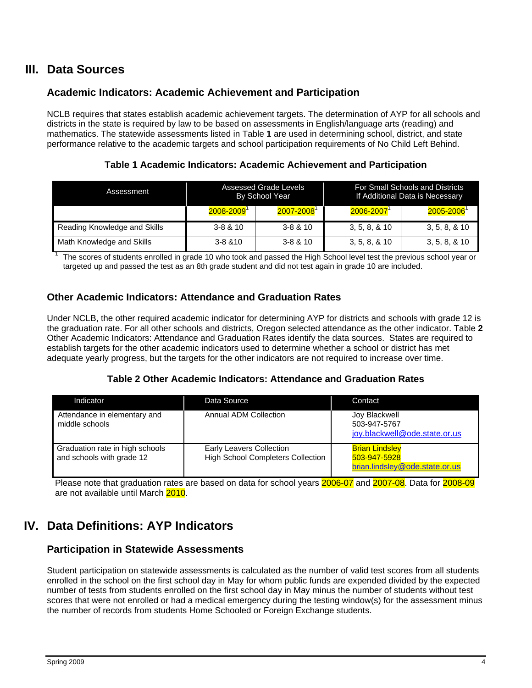## **III. Data Sources**

## **Academic Indicators: Academic Achievement and Participation**

NCLB requires that states establish academic achievement targets. The determination of AYP for all schools and districts in the state is required by law to be based on assessments in English/language arts (reading) and mathematics. The statewide assessments listed in Table **1** are used in determining school, district, and state performance relative to the academic targets and school participation requirements of No Child Left Behind.

**Table 1 Academic Indicators: Academic Achievement and Participation** 

| Assessment                   | Assessed Grade Levels<br><b>By School Year</b> |                            | For Small Schools and Districts<br>If Additional Data is Necessary |                            |  |
|------------------------------|------------------------------------------------|----------------------------|--------------------------------------------------------------------|----------------------------|--|
|                              | 2008-2009                                      | $2007 - 2008$ <sup>1</sup> | $2006 - 2007$ <sup>1</sup>                                         | $2005 - 2006$ <sup>1</sup> |  |
| Reading Knowledge and Skills | $3 - 8 & 10$                                   | $3 - 8 & 10$               | 3, 5, 8, 8, 10                                                     | 3, 5, 8, 8, 10             |  |
| Math Knowledge and Skills    | $3 - 8 & 810$                                  | $3 - 8 & 10$               | 3, 5, 8, 8, 10                                                     | 3, 5, 8, 8, 10             |  |

The scores of students enrolled in grade 10 who took and passed the High School level test the previous school year or targeted up and passed the test as an 8th grade student and did not test again in grade 10 are included.

### **Other Academic Indicators: Attendance and Graduation Rates**

Under NCLB, the other required academic indicator for determining AYP for districts and schools with grade 12 is the graduation rate. For all other schools and districts, Oregon selected attendance as the other indicator. Table **2** Other Academic Indicators: Attendance and Graduation Rates identify the data sources. States are required to establish targets for the other academic indicators used to determine whether a school or district has met adequate yearly progress, but the targets for the other indicators are not required to increase over time.

#### **Table 2 Other Academic Indicators: Attendance and Graduation Rates**

| Indicator                                                    | Data Source                                                                 | Contact                                                                 |
|--------------------------------------------------------------|-----------------------------------------------------------------------------|-------------------------------------------------------------------------|
| Attendance in elementary and<br>middle schools               | Annual ADM Collection                                                       | Joy Blackwell<br>503-947-5767<br>joy.blackwell@ode.state.or.us          |
| Graduation rate in high schools<br>and schools with grade 12 | <b>Early Leavers Collection</b><br><b>High School Completers Collection</b> | <b>Brian Lindsley</b><br>503-947-5928<br>brian.lindsley@ode.state.or.us |

Please note that graduation rates are based on data for school years 2006-07 and 2007-08. Data for 2008-09 are not available until March 2010.

# **IV. Data Definitions: AYP Indicators**

## **Participation in Statewide Assessments**

Student participation on statewide assessments is calculated as the number of valid test scores from all students enrolled in the school on the first school day in May for whom public funds are expended divided by the expected number of tests from students enrolled on the first school day in May minus the number of students without test scores that were not enrolled or had a medical emergency during the testing window(s) for the assessment minus the number of records from students Home Schooled or Foreign Exchange students.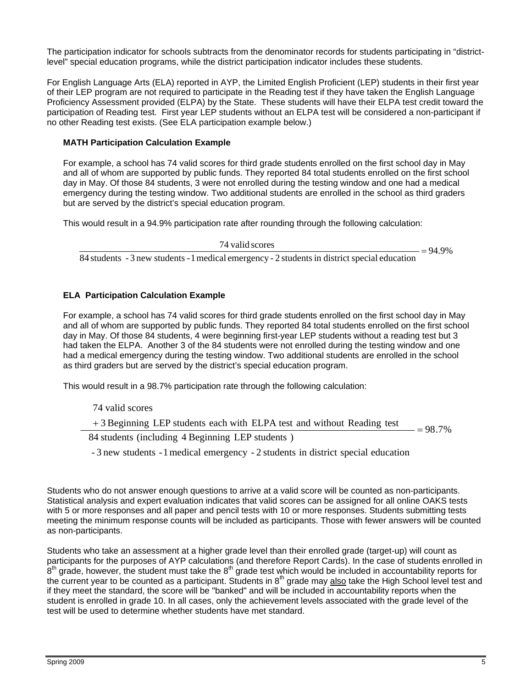The participation indicator for schools subtracts from the denominator records for students participating in "districtlevel" special education programs, while the district participation indicator includes these students.

For English Language Arts (ELA) reported in AYP, the Limited English Proficient (LEP) students in their first year of their LEP program are not required to participate in the Reading test if they have taken the English Language Proficiency Assessment provided (ELPA) by the State. These students will have their ELPA test credit toward the participation of Reading test. First year LEP students without an ELPA test will be considered a non-participant if no other Reading test exists. (See ELA participation example below.)

#### **MATH Participation Calculation Example**

For example, a school has 74 valid scores for third grade students enrolled on the first school day in May and all of whom are supported by public funds. They reported 84 total students enrolled on the first school day in May. Of those 84 students, 3 were not enrolled during the testing window and one had a medical emergency during the testing window. Two additional students are enrolled in the school as third graders but are served by the district's special education program.

This would result in a 94.9% participation rate after rounding through the following calculation:

 $\frac{74 \text{ valid scores}}{24 \text{ rad/s}^2}$  =

 $=94.9%$ 

84 students - 3 new students - 1 medical emergency - 2 students in district special education

#### **ELA Participation Calculation Example**

For example, a school has 74 valid scores for third grade students enrolled on the first school day in May and all of whom are supported by public funds. They reported 84 total students enrolled on the first school day in May. Of those 84 students, 4 were beginning first-year LEP students without a reading test but 3 had taken the ELPA. Another 3 of the 84 students were not enrolled during the testing window and one had a medical emergency during the testing window. Two additional students are enrolled in the school as third graders but are served by the district's special education program.

This would result in a 98.7% participation rate through the following calculation:

74 valid scores

 $= 98.7\%$  $+3$  Beginning LEP students each with ELPA test and without Reading test  $=$ 

84 students (including 4 Beginning LEP students )

- 3 new students -1medical emergency - 2 students in district special education

Students who do not answer enough questions to arrive at a valid score will be counted as non-participants. Statistical analysis and expert evaluation indicates that valid scores can be assigned for all online OAKS tests with 5 or more responses and all paper and pencil tests with 10 or more responses. Students submitting tests meeting the minimum response counts will be included as participants. Those with fewer answers will be counted as non-participants.

Students who take an assessment at a higher grade level than their enrolled grade (target-up) will count as participants for the purposes of AYP calculations (and therefore Report Cards). In the case of students enrolled in  $8<sup>th</sup>$  grade, however, the student must take the  $8<sup>th</sup>$  grade test which would be included in accountability reports for the current year to be counted as a participant. Students in  $8<sup>th</sup>$  grade may also take the High School level test and if they meet the standard, the score will be "banked" and will be included in accountability reports when the student is enrolled in grade 10. In all cases, only the achievement levels associated with the grade level of the test will be used to determine whether students have met standard.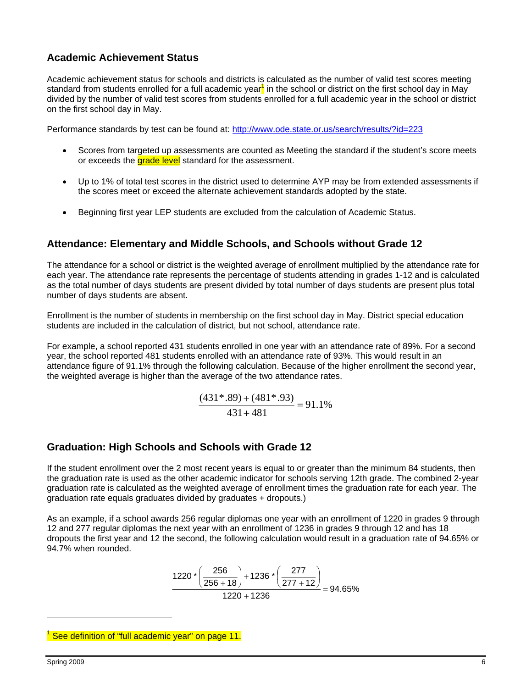## **Academic Achievement Status**

Academic achievement status for schools and districts is calculated as the number of valid test scores meeting standard from students enrolled for a full academic year<sup>1</sup> in the school or district on the first school day in May divided by the number of valid test scores from students enrolled for a full academic year in the school or district on the first school day in May.

Performance standards by test can be found at: http://www.ode.state.or.us/search/results/?id=223

- Scores from targeted up assessments are counted as Meeting the standard if the student's score meets or exceeds the grade level standard for the assessment.
- Up to 1% of total test scores in the district used to determine AYP may be from extended assessments if the scores meet or exceed the alternate achievement standards adopted by the state.
- Beginning first year LEP students are excluded from the calculation of Academic Status.

### **Attendance: Elementary and Middle Schools, and Schools without Grade 12**

The attendance for a school or district is the weighted average of enrollment multiplied by the attendance rate for each year. The attendance rate represents the percentage of students attending in grades 1-12 and is calculated as the total number of days students are present divided by total number of days students are present plus total number of days students are absent.

Enrollment is the number of students in membership on the first school day in May. District special education students are included in the calculation of district, but not school, attendance rate.

For example, a school reported 431 students enrolled in one year with an attendance rate of 89%. For a second year, the school reported 481 students enrolled with an attendance rate of 93%. This would result in an attendance figure of 91.1% through the following calculation. Because of the higher enrollment the second year, the weighted average is higher than the average of the two attendance rates.

$$
\frac{(431*.89) + (481*.93)}{431 + 481} = 91.1\%
$$

#### **Graduation: High Schools and Schools with Grade 12**

If the student enrollment over the 2 most recent years is equal to or greater than the minimum 84 students, then the graduation rate is used as the other academic indicator for schools serving 12th grade. The combined 2-year graduation rate is calculated as the weighted average of enrollment times the graduation rate for each year. The graduation rate equals graduates divided by graduates + dropouts.)

As an example, if a school awards 256 regular diplomas one year with an enrollment of 1220 in grades 9 through 12 and 277 regular diplomas the next year with an enrollment of 1236 in grades 9 through 12 and has 18 dropouts the first year and 12 the second, the following calculation would result in a graduation rate of 94.65% or 94.7% when rounded.

$$
\frac{1220 \cdot \left(\frac{256}{256+18}\right) + 1236 \cdot \left(\frac{277}{277+12}\right)}{1220+1236} = 94.65\%
$$

1 See definition of "full academic year" on page 11.

 $\overline{a}$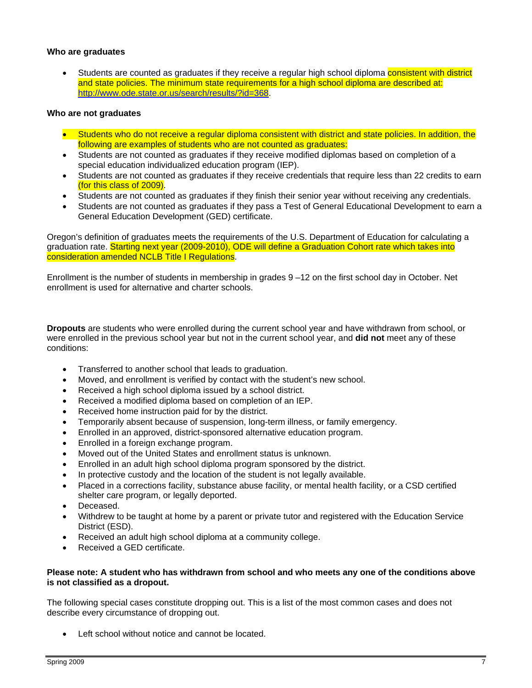#### **Who are graduates**

Students are counted as graduates if they receive a regular high school diploma consistent with district and state policies. The minimum state requirements for a high school diploma are described at: http://www.ode.state.or.us/search/results/?id=368.

#### **Who are not graduates**

- Students who do not receive a regular diploma consistent with district and state policies. In addition, the following are examples of students who are not counted as graduates:
- Students are not counted as graduates if they receive modified diplomas based on completion of a special education individualized education program (IEP).
- Students are not counted as graduates if they receive credentials that require less than 22 credits to earn (for this class of 2009).
- Students are not counted as graduates if they finish their senior year without receiving any credentials.
- Students are not counted as graduates if they pass a Test of General Educational Development to earn a General Education Development (GED) certificate.

Oregon's definition of graduates meets the requirements of the U.S. Department of Education for calculating a graduation rate. Starting next year (2009-2010), ODE will define a Graduation Cohort rate which takes into consideration amended NCLB Title I Regulations.

Enrollment is the number of students in membership in grades 9 –12 on the first school day in October. Net enrollment is used for alternative and charter schools.

**Dropouts** are students who were enrolled during the current school year and have withdrawn from school, or were enrolled in the previous school year but not in the current school year, and **did not** meet any of these conditions:

- Transferred to another school that leads to graduation.
- Moved, and enrollment is verified by contact with the student's new school.
- Received a high school diploma issued by a school district.
- Received a modified diploma based on completion of an IEP.
- Received home instruction paid for by the district.
- Temporarily absent because of suspension, long-term illness, or family emergency.
- Enrolled in an approved, district-sponsored alternative education program.
- Enrolled in a foreign exchange program.
- Moved out of the United States and enrollment status is unknown.
- Enrolled in an adult high school diploma program sponsored by the district.
- In protective custody and the location of the student is not legally available.
- Placed in a corrections facility, substance abuse facility, or mental health facility, or a CSD certified shelter care program, or legally deported.
- Deceased.
- Withdrew to be taught at home by a parent or private tutor and registered with the Education Service District (ESD).
- Received an adult high school diploma at a community college.
- Received a GED certificate.

#### **Please note: A student who has withdrawn from school and who meets any one of the conditions above is not classified as a dropout.**

The following special cases constitute dropping out. This is a list of the most common cases and does not describe every circumstance of dropping out.

• Left school without notice and cannot be located.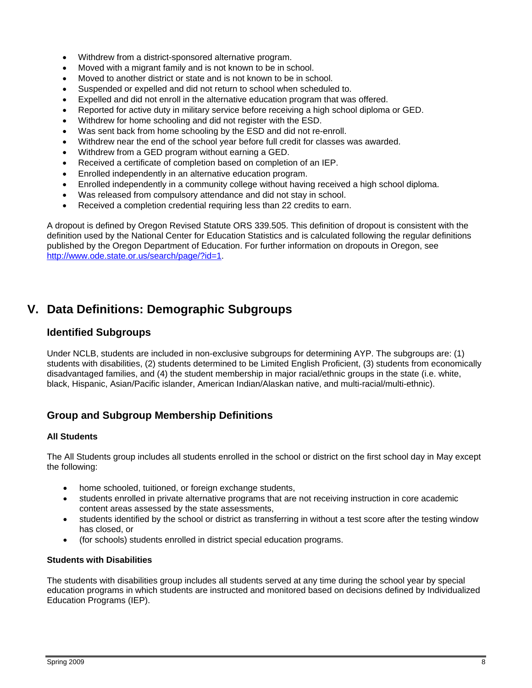- Withdrew from a district-sponsored alternative program.
- Moved with a migrant family and is not known to be in school.
- Moved to another district or state and is not known to be in school.
- Suspended or expelled and did not return to school when scheduled to.
- Expelled and did not enroll in the alternative education program that was offered.
- Reported for active duty in military service before receiving a high school diploma or GED.
- Withdrew for home schooling and did not register with the ESD.
- Was sent back from home schooling by the ESD and did not re-enroll.
- Withdrew near the end of the school year before full credit for classes was awarded.
- Withdrew from a GED program without earning a GED.
- Received a certificate of completion based on completion of an IEP.
- Enrolled independently in an alternative education program.
- Enrolled independently in a community college without having received a high school diploma.
- Was released from compulsory attendance and did not stay in school.
- Received a completion credential requiring less than 22 credits to earn.

A dropout is defined by Oregon Revised Statute ORS 339.505. This definition of dropout is consistent with the definition used by the National Center for Education Statistics and is calculated following the regular definitions published by the Oregon Department of Education. For further information on dropouts in Oregon, see http://www.ode.state.or.us/search/page/?id=1.

## **V. Data Definitions: Demographic Subgroups**

#### **Identified Subgroups**

Under NCLB, students are included in non-exclusive subgroups for determining AYP. The subgroups are: (1) students with disabilities, (2) students determined to be Limited English Proficient, (3) students from economically disadvantaged families, and (4) the student membership in major racial/ethnic groups in the state (i.e. white, black, Hispanic, Asian/Pacific islander, American Indian/Alaskan native, and multi-racial/multi-ethnic).

## **Group and Subgroup Membership Definitions**

#### **All Students**

The All Students group includes all students enrolled in the school or district on the first school day in May except the following:

- home schooled, tuitioned, or foreign exchange students,
- students enrolled in private alternative programs that are not receiving instruction in core academic content areas assessed by the state assessments,
- students identified by the school or district as transferring in without a test score after the testing window has closed, or
- (for schools) students enrolled in district special education programs.

#### **Students with Disabilities**

The students with disabilities group includes all students served at any time during the school year by special education programs in which students are instructed and monitored based on decisions defined by Individualized Education Programs (IEP).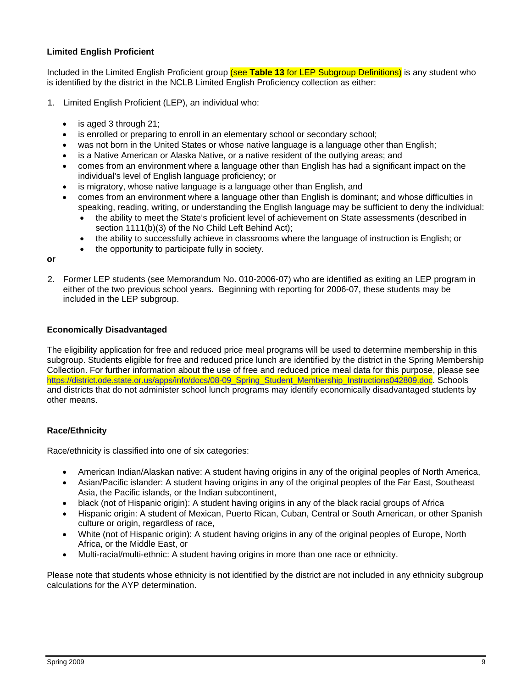#### **Limited English Proficient**

Included in the Limited English Proficient group (see **Table 13** for LEP Subgroup Definitions) is any student who is identified by the district in the NCLB Limited English Proficiency collection as either:

- 1. Limited English Proficient (LEP), an individual who:
	- is aged 3 through 21;
	- is enrolled or preparing to enroll in an elementary school or secondary school;
	- was not born in the United States or whose native language is a language other than English;
	- is a Native American or Alaska Native, or a native resident of the outlying areas; and
	- comes from an environment where a language other than English has had a significant impact on the individual's level of English language proficiency; or
	- is migratory, whose native language is a language other than English, and
	- comes from an environment where a language other than English is dominant; and whose difficulties in speaking, reading, writing, or understanding the English language may be sufficient to deny the individual:
		- the ability to meet the State's proficient level of achievement on State assessments (described in section 1111(b)(3) of the No Child Left Behind Act);
		- the ability to successfully achieve in classrooms where the language of instruction is English; or
		- the opportunity to participate fully in society.

**or** 

2. Former LEP students (see Memorandum No. 010-2006-07) who are identified as exiting an LEP program in either of the two previous school years. Beginning with reporting for 2006-07, these students may be included in the LEP subgroup.

#### **Economically Disadvantaged**

The eligibility application for free and reduced price meal programs will be used to determine membership in this subgroup. Students eligible for free and reduced price lunch are identified by the district in the Spring Membership Collection. For further information about the use of free and reduced price meal data for this purpose, please see https://district.ode.state.or.us/apps/info/docs/08-09\_Spring\_Student\_Membership\_Instructions042809.doc. Schools and districts that do not administer school lunch programs may identify economically disadvantaged students by other means.

#### **Race/Ethnicity**

Race/ethnicity is classified into one of six categories:

- American Indian/Alaskan native: A student having origins in any of the original peoples of North America,
- Asian/Pacific islander: A student having origins in any of the original peoples of the Far East, Southeast Asia, the Pacific islands, or the Indian subcontinent,
- black (not of Hispanic origin): A student having origins in any of the black racial groups of Africa
- Hispanic origin: A student of Mexican, Puerto Rican, Cuban, Central or South American, or other Spanish culture or origin, regardless of race,
- White (not of Hispanic origin): A student having origins in any of the original peoples of Europe, North Africa, or the Middle East, or
- Multi-racial/multi-ethnic: A student having origins in more than one race or ethnicity.

Please note that students whose ethnicity is not identified by the district are not included in any ethnicity subgroup calculations for the AYP determination.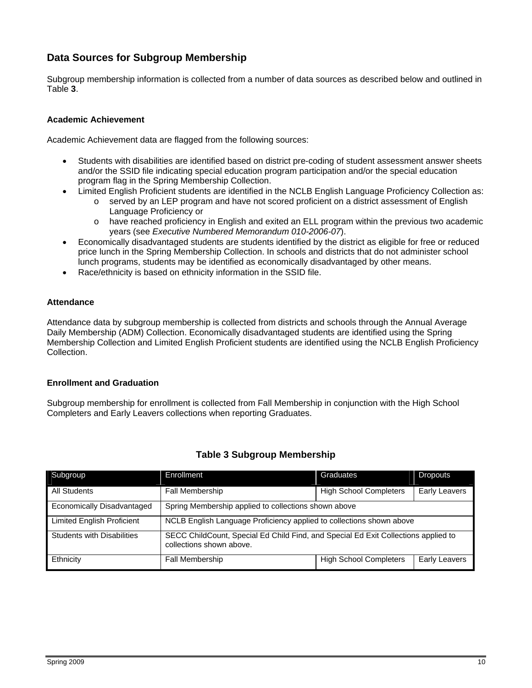## **Data Sources for Subgroup Membership**

Subgroup membership information is collected from a number of data sources as described below and outlined in Table **3**.

#### **Academic Achievement**

Academic Achievement data are flagged from the following sources:

- Students with disabilities are identified based on district pre-coding of student assessment answer sheets and/or the SSID file indicating special education program participation and/or the special education program flag in the Spring Membership Collection.
- Limited English Proficient students are identified in the NCLB English Language Proficiency Collection as:
	- $\circ$  served by an LEP program and have not scored proficient on a district assessment of English Language Proficiency or
	- o have reached proficiency in English and exited an ELL program within the previous two academic years (see *Executive Numbered Memorandum 010-2006-07*).
- Economically disadvantaged students are students identified by the district as eligible for free or reduced price lunch in the Spring Membership Collection. In schools and districts that do not administer school lunch programs, students may be identified as economically disadvantaged by other means.
- Race/ethnicity is based on ethnicity information in the SSID file.

#### **Attendance**

Attendance data by subgroup membership is collected from districts and schools through the Annual Average Daily Membership (ADM) Collection. Economically disadvantaged students are identified using the Spring Membership Collection and Limited English Proficient students are identified using the NCLB English Proficiency Collection.

#### **Enrollment and Graduation**

Subgroup membership for enrollment is collected from Fall Membership in conjunction with the High School Completers and Early Leavers collections when reporting Graduates.

| Subgroup                          | Enrollment                                                                                                     | Graduates                     | Dropouts             |  |
|-----------------------------------|----------------------------------------------------------------------------------------------------------------|-------------------------------|----------------------|--|
| <b>All Students</b>               | Fall Membership                                                                                                | <b>High School Completers</b> | <b>Early Leavers</b> |  |
| Economically Disadvantaged        | Spring Membership applied to collections shown above                                                           |                               |                      |  |
| <b>Limited English Proficient</b> | NCLB English Language Proficiency applied to collections shown above                                           |                               |                      |  |
| <b>Students with Disabilities</b> | SECC ChildCount, Special Ed Child Find, and Special Ed Exit Collections applied to<br>collections shown above. |                               |                      |  |
| Ethnicity                         | Fall Membership                                                                                                | <b>High School Completers</b> | <b>Early Leavers</b> |  |

#### **Table 3 Subgroup Membership**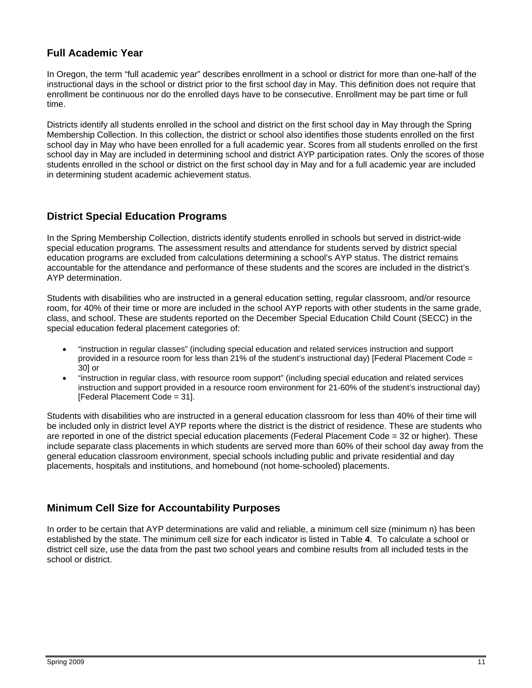## **Full Academic Year**

In Oregon, the term "full academic year" describes enrollment in a school or district for more than one-half of the instructional days in the school or district prior to the first school day in May. This definition does not require that enrollment be continuous nor do the enrolled days have to be consecutive. Enrollment may be part time or full time.

Districts identify all students enrolled in the school and district on the first school day in May through the Spring Membership Collection. In this collection, the district or school also identifies those students enrolled on the first school day in May who have been enrolled for a full academic year. Scores from all students enrolled on the first school day in May are included in determining school and district AYP participation rates. Only the scores of those students enrolled in the school or district on the first school day in May and for a full academic year are included in determining student academic achievement status.

## **District Special Education Programs**

In the Spring Membership Collection, districts identify students enrolled in schools but served in district-wide special education programs. The assessment results and attendance for students served by district special education programs are excluded from calculations determining a school's AYP status. The district remains accountable for the attendance and performance of these students and the scores are included in the district's AYP determination.

Students with disabilities who are instructed in a general education setting, regular classroom, and/or resource room, for 40% of their time or more are included in the school AYP reports with other students in the same grade, class, and school. These are students reported on the December Special Education Child Count (SECC) in the special education federal placement categories of:

- "instruction in regular classes" (including special education and related services instruction and support provided in a resource room for less than 21% of the student's instructional day) [Federal Placement Code = 30] or
- "instruction in regular class, with resource room support" (including special education and related services instruction and support provided in a resource room environment for 21-60% of the student's instructional day) [Federal Placement Code = 31].

Students with disabilities who are instructed in a general education classroom for less than 40% of their time will be included only in district level AYP reports where the district is the district of residence. These are students who are reported in one of the district special education placements (Federal Placement Code = 32 or higher). These include separate class placements in which students are served more than 60% of their school day away from the general education classroom environment, special schools including public and private residential and day placements, hospitals and institutions, and homebound (not home-schooled) placements.

## **Minimum Cell Size for Accountability Purposes**

In order to be certain that AYP determinations are valid and reliable, a minimum cell size (minimum n) has been established by the state. The minimum cell size for each indicator is listed in Table **4**. To calculate a school or district cell size, use the data from the past two school years and combine results from all included tests in the school or district.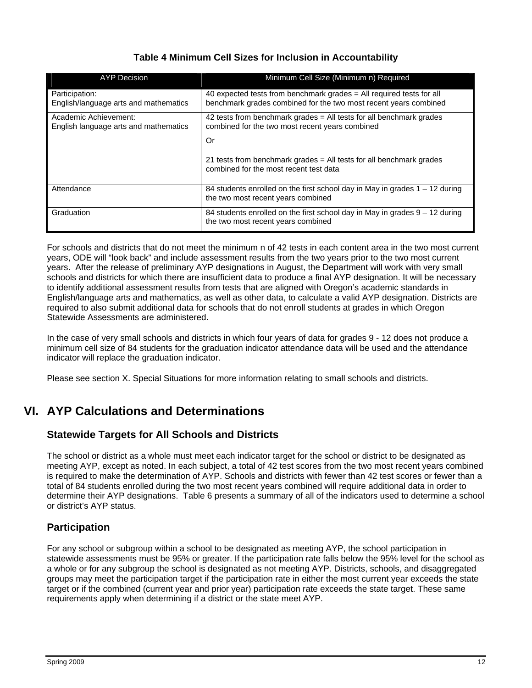## **Table 4 Minimum Cell Sizes for Inclusion in Accountability**

| <b>AYP Decision</b>                                            | Minimum Cell Size (Minimum n) Required                                                                                                   |
|----------------------------------------------------------------|------------------------------------------------------------------------------------------------------------------------------------------|
| Participation:<br>English/language arts and mathematics        | 40 expected tests from benchmark grades = All required tests for all<br>benchmark grades combined for the two most recent years combined |
| Academic Achievement:<br>English language arts and mathematics | 42 tests from benchmark grades = All tests for all benchmark grades<br>combined for the two most recent years combined                   |
|                                                                | Or                                                                                                                                       |
|                                                                | 21 tests from benchmark grades $=$ All tests for all benchmark grades<br>combined for the most recent test data                          |
| Attendance                                                     | 84 students enrolled on the first school day in May in grades $1 - 12$ during<br>the two most recent years combined                      |
| Graduation                                                     | 84 students enrolled on the first school day in May in grades 9 - 12 during<br>the two most recent years combined                        |

For schools and districts that do not meet the minimum n of 42 tests in each content area in the two most current years, ODE will "look back" and include assessment results from the two years prior to the two most current years. After the release of preliminary AYP designations in August, the Department will work with very small schools and districts for which there are insufficient data to produce a final AYP designation. It will be necessary to identify additional assessment results from tests that are aligned with Oregon's academic standards in English/language arts and mathematics, as well as other data, to calculate a valid AYP designation. Districts are required to also submit additional data for schools that do not enroll students at grades in which Oregon Statewide Assessments are administered.

In the case of very small schools and districts in which four years of data for grades 9 - 12 does not produce a minimum cell size of 84 students for the graduation indicator attendance data will be used and the attendance indicator will replace the graduation indicator.

Please see section X. Special Situations for more information relating to small schools and districts.

# **VI. AYP Calculations and Determinations**

## **Statewide Targets for All Schools and Districts**

The school or district as a whole must meet each indicator target for the school or district to be designated as meeting AYP, except as noted. In each subject, a total of 42 test scores from the two most recent years combined is required to make the determination of AYP. Schools and districts with fewer than 42 test scores or fewer than a total of 84 students enrolled during the two most recent years combined will require additional data in order to determine their AYP designations. Table 6 presents a summary of all of the indicators used to determine a school or district's AYP status.

## **Participation**

For any school or subgroup within a school to be designated as meeting AYP, the school participation in statewide assessments must be 95% or greater. If the participation rate falls below the 95% level for the school as a whole or for any subgroup the school is designated as not meeting AYP. Districts, schools, and disaggregated groups may meet the participation target if the participation rate in either the most current year exceeds the state target or if the combined (current year and prior year) participation rate exceeds the state target. These same requirements apply when determining if a district or the state meet AYP.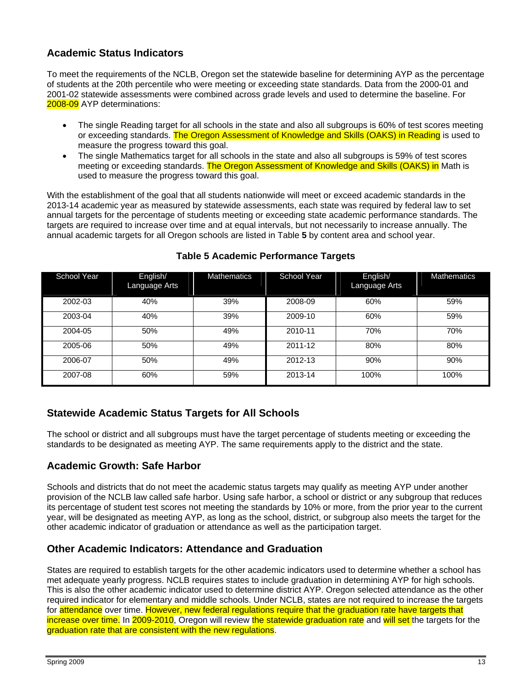## **Academic Status Indicators**

To meet the requirements of the NCLB, Oregon set the statewide baseline for determining AYP as the percentage of students at the 20th percentile who were meeting or exceeding state standards. Data from the 2000-01 and 2001-02 statewide assessments were combined across grade levels and used to determine the baseline. For 2008-09 AYP determinations:

- The single Reading target for all schools in the state and also all subgroups is 60% of test scores meeting or exceeding standards. The Oregon Assessment of Knowledge and Skills (OAKS) in Reading is used to measure the progress toward this goal.
- The single Mathematics target for all schools in the state and also all subgroups is 59% of test scores meeting or exceeding standards. The Oregon Assessment of Knowledge and Skills (OAKS) in Math is used to measure the progress toward this goal.

With the establishment of the goal that all students nationwide will meet or exceed academic standards in the 2013-14 academic year as measured by statewide assessments, each state was required by federal law to set annual targets for the percentage of students meeting or exceeding state academic performance standards. The targets are required to increase over time and at equal intervals, but not necessarily to increase annually. The annual academic targets for all Oregon schools are listed in Table **5** by content area and school year.

| School Year | English/<br>Language Arts | <b>Mathematics</b> | School Year | English/<br>Language Arts | <b>Mathematics</b> |
|-------------|---------------------------|--------------------|-------------|---------------------------|--------------------|
| 2002-03     | 40%                       | 39%                | 2008-09     | 60%                       | 59%                |
| 2003-04     | 40%                       | 39%                | 2009-10     | 60%                       | 59%                |
| 2004-05     | 50%                       | 49%                | 2010-11     | 70%                       | 70%                |
| 2005-06     | 50%                       | 49%                | 2011-12     | 80%                       | 80%                |
| 2006-07     | 50%                       | 49%                | 2012-13     | 90%                       | 90%                |
| 2007-08     | 60%                       | 59%                | 2013-14     | 100%                      | 100%               |

## **Table 5 Academic Performance Targets**

## **Statewide Academic Status Targets for All Schools**

The school or district and all subgroups must have the target percentage of students meeting or exceeding the standards to be designated as meeting AYP. The same requirements apply to the district and the state.

## **Academic Growth: Safe Harbor**

Schools and districts that do not meet the academic status targets may qualify as meeting AYP under another provision of the NCLB law called safe harbor. Using safe harbor, a school or district or any subgroup that reduces its percentage of student test scores not meeting the standards by 10% or more, from the prior year to the current year, will be designated as meeting AYP, as long as the school, district, or subgroup also meets the target for the other academic indicator of graduation or attendance as well as the participation target.

## **Other Academic Indicators: Attendance and Graduation**

States are required to establish targets for the other academic indicators used to determine whether a school has met adequate yearly progress. NCLB requires states to include graduation in determining AYP for high schools. This is also the other academic indicator used to determine district AYP. Oregon selected attendance as the other required indicator for elementary and middle schools. Under NCLB, states are not required to increase the targets for attendance over time. However, new federal regulations require that the graduation rate have targets that increase over time. In 2009-2010, Oregon will review the statewide graduation rate and will set the targets for the graduation rate that are consistent with the new regulations.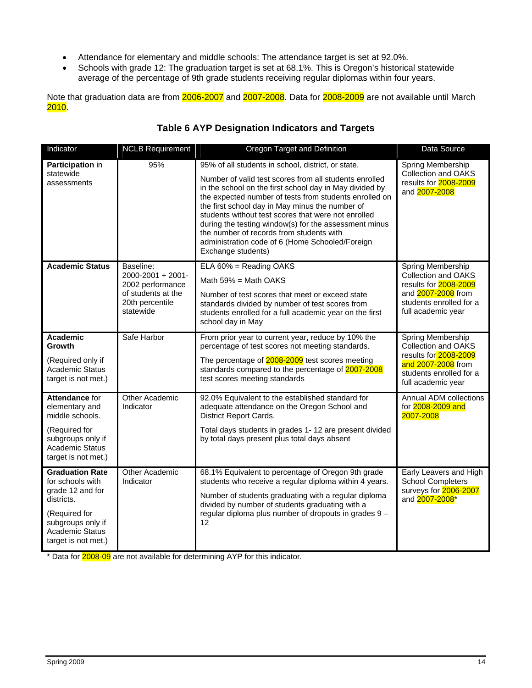- Attendance for elementary and middle schools: The attendance target is set at 92.0%.
- Schools with grade 12: The graduation target is set at 68.1%. This is Oregon's historical statewide average of the percentage of 9th grade students receiving regular diplomas within four years.

Note that graduation data are from 2006-2007 and 2007-2008. Data for 2008-2009 are not available until March 2010.

## **Table 6 AYP Designation Indicators and Targets**

| Indicator                                                                                                                                                           | NCLB Requirement                                                                                         | Oregon Target and Definition                                                                                                                                                                                                                                                                                                                                                                                                                                                                                              | Data Source                                                                                                                                     |
|---------------------------------------------------------------------------------------------------------------------------------------------------------------------|----------------------------------------------------------------------------------------------------------|---------------------------------------------------------------------------------------------------------------------------------------------------------------------------------------------------------------------------------------------------------------------------------------------------------------------------------------------------------------------------------------------------------------------------------------------------------------------------------------------------------------------------|-------------------------------------------------------------------------------------------------------------------------------------------------|
| Participation in<br>statewide<br>assessments                                                                                                                        | 95%                                                                                                      | 95% of all students in school, district, or state.<br>Number of valid test scores from all students enrolled<br>in the school on the first school day in May divided by<br>the expected number of tests from students enrolled on<br>the first school day in May minus the number of<br>students without test scores that were not enrolled<br>during the testing window(s) for the assessment minus<br>the number of records from students with<br>administration code of 6 (Home Schooled/Foreign<br>Exchange students) | Spring Membership<br><b>Collection and OAKS</b><br>results for 2008-2009<br>and 2007-2008                                                       |
| <b>Academic Status</b>                                                                                                                                              | Baseline:<br>2000-2001 + 2001-<br>2002 performance<br>of students at the<br>20th percentile<br>statewide | ELA 60% = Reading OAKS<br>Math $59\%$ = Math OAKS<br>Number of test scores that meet or exceed state<br>standards divided by number of test scores from<br>students enrolled for a full academic year on the first<br>school day in May                                                                                                                                                                                                                                                                                   | Spring Membership<br><b>Collection and OAKS</b><br>results for 2008-2009<br>and 2007-2008 from<br>students enrolled for a<br>full academic year |
| Academic<br>Growth<br>(Required only if<br><b>Academic Status</b><br>target is not met.)                                                                            | Safe Harbor                                                                                              | From prior year to current year, reduce by 10% the<br>percentage of test scores not meeting standards.<br>The percentage of 2008-2009 test scores meeting<br>standards compared to the percentage of 2007-2008<br>test scores meeting standards                                                                                                                                                                                                                                                                           | Spring Membership<br><b>Collection and OAKS</b><br>results for 2008-2009<br>and 2007-2008 from<br>students enrolled for a<br>full academic year |
| Attendance for<br>elementary and<br>middle schools.<br>(Required for<br>subgroups only if<br><b>Academic Status</b><br>target is not met.)                          | Other Academic<br>Indicator                                                                              | 92.0% Equivalent to the established standard for<br>adequate attendance on the Oregon School and<br><b>District Report Cards.</b><br>Total days students in grades 1-12 are present divided<br>by total days present plus total days absent                                                                                                                                                                                                                                                                               | Annual ADM collections<br>for 2008-2009 and<br>2007-2008                                                                                        |
| <b>Graduation Rate</b><br>for schools with<br>grade 12 and for<br>districts.<br>(Required for<br>subgroups only if<br><b>Academic Status</b><br>target is not met.) | <b>Other Academic</b><br>Indicator                                                                       | 68.1% Equivalent to percentage of Oregon 9th grade<br>students who receive a regular diploma within 4 years.<br>Number of students graduating with a regular diploma<br>divided by number of students graduating with a<br>regular diploma plus number of dropouts in grades 9 -<br>12                                                                                                                                                                                                                                    | Early Leavers and High<br>School Completers<br>surveys for 2006-2007<br>and 2007-2008*                                                          |

\* Data for 2008-09 are not available for determining AYP for this indicator.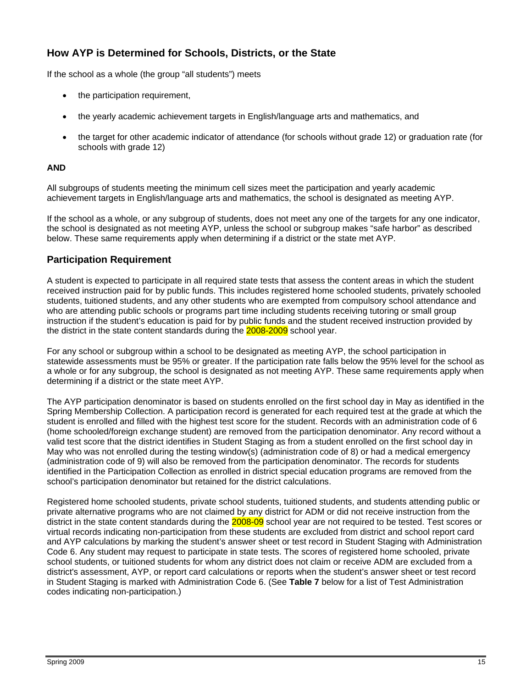## **How AYP is Determined for Schools, Districts, or the State**

If the school as a whole (the group "all students") meets

- the participation requirement,
- the yearly academic achievement targets in English/language arts and mathematics, and
- the target for other academic indicator of attendance (for schools without grade 12) or graduation rate (for schools with grade 12)

#### **AND**

All subgroups of students meeting the minimum cell sizes meet the participation and yearly academic achievement targets in English/language arts and mathematics, the school is designated as meeting AYP.

If the school as a whole, or any subgroup of students, does not meet any one of the targets for any one indicator, the school is designated as not meeting AYP, unless the school or subgroup makes "safe harbor" as described below. These same requirements apply when determining if a district or the state met AYP.

#### **Participation Requirement**

A student is expected to participate in all required state tests that assess the content areas in which the student received instruction paid for by public funds. This includes registered home schooled students, privately schooled students, tuitioned students, and any other students who are exempted from compulsory school attendance and who are attending public schools or programs part time including students receiving tutoring or small group instruction if the student's education is paid for by public funds and the student received instruction provided by the district in the state content standards during the **2008-2009** school year.

For any school or subgroup within a school to be designated as meeting AYP, the school participation in statewide assessments must be 95% or greater. If the participation rate falls below the 95% level for the school as a whole or for any subgroup, the school is designated as not meeting AYP. These same requirements apply when determining if a district or the state meet AYP.

The AYP participation denominator is based on students enrolled on the first school day in May as identified in the Spring Membership Collection. A participation record is generated for each required test at the grade at which the student is enrolled and filled with the highest test score for the student. Records with an administration code of 6 (home schooled/foreign exchange student) are removed from the participation denominator. Any record without a valid test score that the district identifies in Student Staging as from a student enrolled on the first school day in May who was not enrolled during the testing window(s) (administration code of 8) or had a medical emergency (administration code of 9) will also be removed from the participation denominator. The records for students identified in the Participation Collection as enrolled in district special education programs are removed from the school's participation denominator but retained for the district calculations.

Registered home schooled students, private school students, tuitioned students, and students attending public or private alternative programs who are not claimed by any district for ADM or did not receive instruction from the district in the state content standards during the **2008-09** school year are not required to be tested. Test scores or virtual records indicating non-participation from these students are excluded from district and school report card and AYP calculations by marking the student's answer sheet or test record in Student Staging with Administration Code 6. Any student may request to participate in state tests. The scores of registered home schooled, private school students, or tuitioned students for whom any district does not claim or receive ADM are excluded from a district's assessment, AYP, or report card calculations or reports when the student's answer sheet or test record in Student Staging is marked with Administration Code 6. (See **Table 7** below for a list of Test Administration codes indicating non-participation.)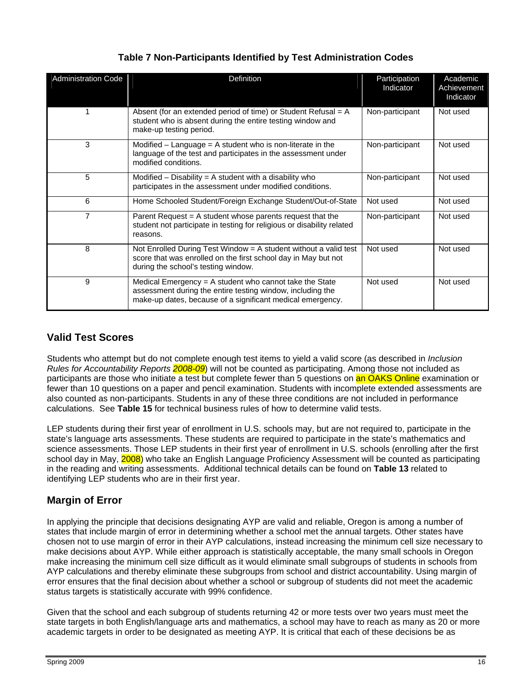| <b>Administration Code</b> | Definition                                                                                                                                                                          | Participation<br>Indicator | Academic<br>Achievement<br>Indicator |
|----------------------------|-------------------------------------------------------------------------------------------------------------------------------------------------------------------------------------|----------------------------|--------------------------------------|
|                            | Absent (for an extended period of time) or Student Refusal $= A$<br>student who is absent during the entire testing window and<br>make-up testing period.                           | Non-participant            | Not used                             |
| 3                          | Modified $-$ Language = A student who is non-literate in the<br>language of the test and participates in the assessment under<br>modified conditions.                               | Non-participant            | Not used                             |
| 5                          | Modified $-$ Disability $=$ A student with a disability who<br>participates in the assessment under modified conditions.                                                            | Non-participant            | Not used                             |
| 6                          | Home Schooled Student/Foreign Exchange Student/Out-of-State                                                                                                                         | Not used                   | Not used                             |
| 7                          | Parent Request $= A$ student whose parents request that the<br>student not participate in testing for religious or disability related<br>reasons.                                   | Non-participant            | Not used                             |
| 8                          | Not Enrolled During Test Window = A student without a valid test<br>score that was enrolled on the first school day in May but not<br>during the school's testing window.           | Not used                   | Not used                             |
| 9                          | Medical Emergency = A student who cannot take the State<br>assessment during the entire testing window, including the<br>make-up dates, because of a significant medical emergency. | Not used                   | Not used                             |

## **Table 7 Non-Participants Identified by Test Administration Codes**

## **Valid Test Scores**

Students who attempt but do not complete enough test items to yield a valid score (as described in *Inclusion Rules for Accountability Reports 2008-09*) will not be counted as participating. Among those not included as participants are those who initiate a test but complete fewer than 5 questions on an OAKS Online examination or fewer than 10 questions on a paper and pencil examination. Students with incomplete extended assessments are also counted as non-participants. Students in any of these three conditions are not included in performance calculations. See **Table 15** for technical business rules of how to determine valid tests.

LEP students during their first year of enrollment in U.S. schools may, but are not required to, participate in the state's language arts assessments. These students are required to participate in the state's mathematics and science assessments. Those LEP students in their first year of enrollment in U.S. schools (enrolling after the first school day in May, 2008) who take an English Language Proficiency Assessment will be counted as participating in the reading and writing assessments. Additional technical details can be found on **Table 13** related to identifying LEP students who are in their first year.

## **Margin of Error**

In applying the principle that decisions designating AYP are valid and reliable, Oregon is among a number of states that include margin of error in determining whether a school met the annual targets. Other states have chosen not to use margin of error in their AYP calculations, instead increasing the minimum cell size necessary to make decisions about AYP. While either approach is statistically acceptable, the many small schools in Oregon make increasing the minimum cell size difficult as it would eliminate small subgroups of students in schools from AYP calculations and thereby eliminate these subgroups from school and district accountability. Using margin of error ensures that the final decision about whether a school or subgroup of students did not meet the academic status targets is statistically accurate with 99% confidence.

Given that the school and each subgroup of students returning 42 or more tests over two years must meet the state targets in both English/language arts and mathematics, a school may have to reach as many as 20 or more academic targets in order to be designated as meeting AYP. It is critical that each of these decisions be as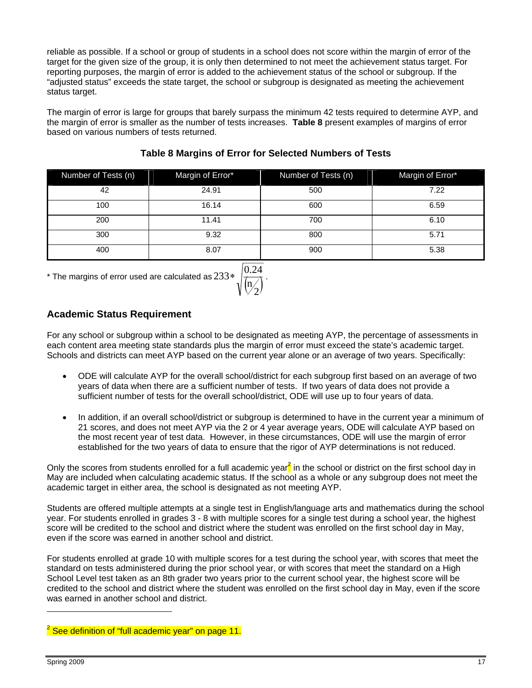reliable as possible. If a school or group of students in a school does not score within the margin of error of the target for the given size of the group, it is only then determined to not meet the achievement status target. For reporting purposes, the margin of error is added to the achievement status of the school or subgroup. If the "adjusted status" exceeds the state target, the school or subgroup is designated as meeting the achievement status target.

The margin of error is large for groups that barely surpass the minimum 42 tests required to determine AYP, and the margin of error is smaller as the number of tests increases. **Table 8** present examples of margins of error based on various numbers of tests returned.

| Number of Tests (n) | Margin of Error* | Number of Tests (n) | Margin of Error* |
|---------------------|------------------|---------------------|------------------|
| 42                  | 24.91            | 500                 | 7.22             |
| 100                 | 16.14            | 600                 | 6.59             |
| 200                 | 11.41            | 700                 | 6.10             |
| 300                 | 9.32             | 800                 | 5.71             |
| 400                 | 8.07             | 900                 | 5.38             |

## **Table 8 Margins of Error for Selected Numbers of Tests**

 $^*$  The margins of error used are calculated as  $233 * \sqrt{\binom{\mathbf{n}}{2}}$ 

$$
233*\sqrt{\frac{0.24}{\left(\frac{\mathsf{m}}{2}\right)}}.
$$

## **Academic Status Requirement**

For any school or subgroup within a school to be designated as meeting AYP, the percentage of assessments in each content area meeting state standards plus the margin of error must exceed the state's academic target. Schools and districts can meet AYP based on the current year alone or an average of two years. Specifically:

- ODE will calculate AYP for the overall school/district for each subgroup first based on an average of two years of data when there are a sufficient number of tests. If two years of data does not provide a sufficient number of tests for the overall school/district, ODE will use up to four years of data.
- In addition, if an overall school/district or subgroup is determined to have in the current year a minimum of 21 scores, and does not meet AYP via the 2 or 4 year average years, ODE will calculate AYP based on the most recent year of test data. However, in these circumstances, ODE will use the margin of error established for the two years of data to ensure that the rigor of AYP determinations is not reduced.

Only the scores from students enrolled for a full academic year<sup>2</sup> in the school or district on the first school day in May are included when calculating academic status. If the school as a whole or any subgroup does not meet the academic target in either area, the school is designated as not meeting AYP.

Students are offered multiple attempts at a single test in English/language arts and mathematics during the school year. For students enrolled in grades 3 - 8 with multiple scores for a single test during a school year, the highest score will be credited to the school and district where the student was enrolled on the first school day in May, even if the score was earned in another school and district.

For students enrolled at grade 10 with multiple scores for a test during the school year, with scores that meet the standard on tests administered during the prior school year, or with scores that meet the standard on a High School Level test taken as an 8th grader two years prior to the current school year, the highest score will be credited to the school and district where the student was enrolled on the first school day in May, even if the score was earned in another school and district.

 $\overline{a}$ 

<sup>&</sup>lt;sup>2</sup> See definition of "full academic year" on page 11.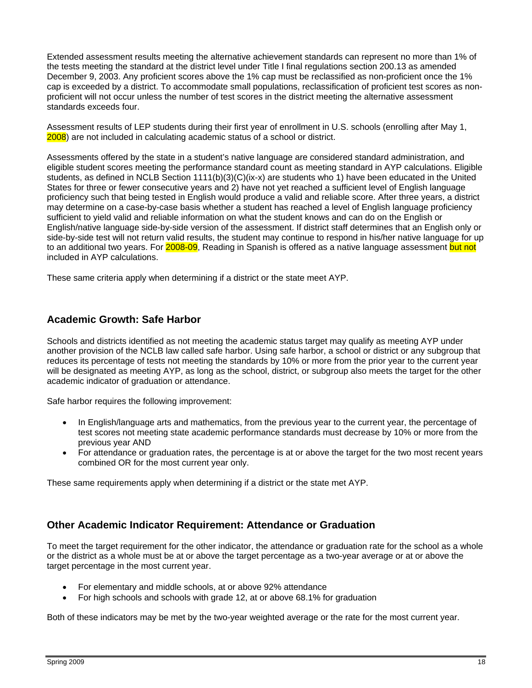Extended assessment results meeting the alternative achievement standards can represent no more than 1% of the tests meeting the standard at the district level under Title I final regulations section 200.13 as amended December 9, 2003. Any proficient scores above the 1% cap must be reclassified as non-proficient once the 1% cap is exceeded by a district. To accommodate small populations, reclassification of proficient test scores as nonproficient will not occur unless the number of test scores in the district meeting the alternative assessment standards exceeds four.

Assessment results of LEP students during their first year of enrollment in U.S. schools (enrolling after May 1, 2008) are not included in calculating academic status of a school or district.

Assessments offered by the state in a student's native language are considered standard administration, and eligible student scores meeting the performance standard count as meeting standard in AYP calculations. Eligible students, as defined in NCLB Section 1111(b)(3)(C)(ix-x) are students who 1) have been educated in the United States for three or fewer consecutive years and 2) have not yet reached a sufficient level of English language proficiency such that being tested in English would produce a valid and reliable score. After three years, a district may determine on a case-by-case basis whether a student has reached a level of English language proficiency sufficient to yield valid and reliable information on what the student knows and can do on the English or English/native language side-by-side version of the assessment. If district staff determines that an English only or side-by-side test will not return valid results, the student may continue to respond in his/her native language for up to an additional two years. For 2008-09, Reading in Spanish is offered as a native language assessment but not included in AYP calculations.

These same criteria apply when determining if a district or the state meet AYP.

#### **Academic Growth: Safe Harbor**

Schools and districts identified as not meeting the academic status target may qualify as meeting AYP under another provision of the NCLB law called safe harbor. Using safe harbor, a school or district or any subgroup that reduces its percentage of tests not meeting the standards by 10% or more from the prior year to the current year will be designated as meeting AYP, as long as the school, district, or subgroup also meets the target for the other academic indicator of graduation or attendance.

Safe harbor requires the following improvement:

- In English/language arts and mathematics, from the previous year to the current year, the percentage of test scores not meeting state academic performance standards must decrease by 10% or more from the previous year AND
- For attendance or graduation rates, the percentage is at or above the target for the two most recent years combined OR for the most current year only.

These same requirements apply when determining if a district or the state met AYP.

#### **Other Academic Indicator Requirement: Attendance or Graduation**

To meet the target requirement for the other indicator, the attendance or graduation rate for the school as a whole or the district as a whole must be at or above the target percentage as a two-year average or at or above the target percentage in the most current year.

- For elementary and middle schools, at or above 92% attendance
- For high schools and schools with grade 12, at or above 68.1% for graduation

Both of these indicators may be met by the two-year weighted average or the rate for the most current year.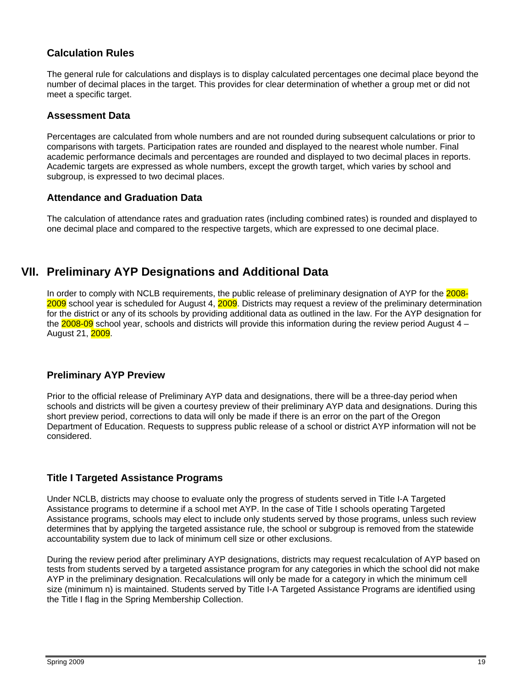## **Calculation Rules**

The general rule for calculations and displays is to display calculated percentages one decimal place beyond the number of decimal places in the target. This provides for clear determination of whether a group met or did not meet a specific target.

#### **Assessment Data**

Percentages are calculated from whole numbers and are not rounded during subsequent calculations or prior to comparisons with targets. Participation rates are rounded and displayed to the nearest whole number. Final academic performance decimals and percentages are rounded and displayed to two decimal places in reports. Academic targets are expressed as whole numbers, except the growth target, which varies by school and subgroup, is expressed to two decimal places.

#### **Attendance and Graduation Data**

The calculation of attendance rates and graduation rates (including combined rates) is rounded and displayed to one decimal place and compared to the respective targets, which are expressed to one decimal place.

## **VII. Preliminary AYP Designations and Additional Data**

In order to comply with NCLB requirements, the public release of preliminary designation of AYP for the 2008-2009 school year is scheduled for August 4, 2009. Districts may request a review of the preliminary determination for the district or any of its schools by providing additional data as outlined in the law. For the AYP designation for the  $2008-09$  school year, schools and districts will provide this information during the review period August  $4 -$ August 21, 2009.

#### **Preliminary AYP Preview**

Prior to the official release of Preliminary AYP data and designations, there will be a three-day period when schools and districts will be given a courtesy preview of their preliminary AYP data and designations. During this short preview period, corrections to data will only be made if there is an error on the part of the Oregon Department of Education. Requests to suppress public release of a school or district AYP information will not be considered.

#### **Title I Targeted Assistance Programs**

Under NCLB, districts may choose to evaluate only the progress of students served in Title I-A Targeted Assistance programs to determine if a school met AYP. In the case of Title I schools operating Targeted Assistance programs, schools may elect to include only students served by those programs, unless such review determines that by applying the targeted assistance rule, the school or subgroup is removed from the statewide accountability system due to lack of minimum cell size or other exclusions.

During the review period after preliminary AYP designations, districts may request recalculation of AYP based on tests from students served by a targeted assistance program for any categories in which the school did not make AYP in the preliminary designation. Recalculations will only be made for a category in which the minimum cell size (minimum n) is maintained. Students served by Title I-A Targeted Assistance Programs are identified using the Title I flag in the Spring Membership Collection.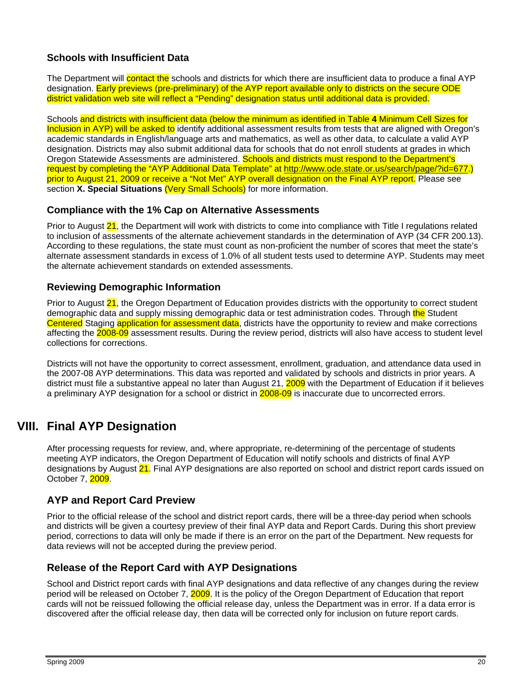## **Schools with Insufficient Data**

The Department will contact the schools and districts for which there are insufficient data to produce a final AYP designation. Early previews (pre-preliminary) of the AYP report available only to districts on the secure ODE district validation web site will reflect a "Pending" designation status until additional data is provided.

Schools and districts with insufficient data (below the minimum as identified in Table **4** Minimum Cell Sizes for Inclusion in AYP) will be asked to identify additional assessment results from tests that are aligned with Oregon's academic standards in English/language arts and mathematics, as well as other data, to calculate a valid AYP designation. Districts may also submit additional data for schools that do not enroll students at grades in which Oregon Statewide Assessments are administered. Schools and districts must respond to the Department's request by completing the "AYP Additional Data Template" at http://www.ode.state.or.us/search/page/?id=677.) prior to August 21, 2009 or receive a "Not Met" AYP overall designation on the Final AYP report. Please see section **X. Special Situations** (Very Small Schools) for more information.

### **Compliance with the 1% Cap on Alternative Assessments**

Prior to August 21, the Department will work with districts to come into compliance with Title I regulations related to inclusion of assessments of the alternate achievement standards in the determination of AYP (34 CFR 200.13). According to these regulations, the state must count as non-proficient the number of scores that meet the state's alternate assessment standards in excess of 1.0% of all student tests used to determine AYP. Students may meet the alternate achievement standards on extended assessments.

#### **Reviewing Demographic Information**

Prior to August 21, the Oregon Department of Education provides districts with the opportunity to correct student demographic data and supply missing demographic data or test administration codes. Through the Student Centered Staging application for assessment data, districts have the opportunity to review and make corrections affecting the 2008-09 assessment results. During the review period, districts will also have access to student level collections for corrections.

Districts will not have the opportunity to correct assessment, enrollment, graduation, and attendance data used in the 2007-08 AYP determinations. This data was reported and validated by schools and districts in prior years. A district must file a substantive appeal no later than August 21, 2009 with the Department of Education if it believes a preliminary AYP designation for a school or district in 2008-09 is inaccurate due to uncorrected errors.

# **VIII. Final AYP Designation**

After processing requests for review, and, where appropriate, re-determining of the percentage of students meeting AYP indicators, the Oregon Department of Education will notify schools and districts of final AYP designations by August 21. Final AYP designations are also reported on school and district report cards issued on October 7, 2009.

## **AYP and Report Card Preview**

Prior to the official release of the school and district report cards, there will be a three-day period when schools and districts will be given a courtesy preview of their final AYP data and Report Cards. During this short preview period, corrections to data will only be made if there is an error on the part of the Department. New requests for data reviews will not be accepted during the preview period.

## **Release of the Report Card with AYP Designations**

School and District report cards with final AYP designations and data reflective of any changes during the review period will be released on October 7, 2009. It is the policy of the Oregon Department of Education that report cards will not be reissued following the official release day, unless the Department was in error. If a data error is discovered after the official release day, then data will be corrected only for inclusion on future report cards.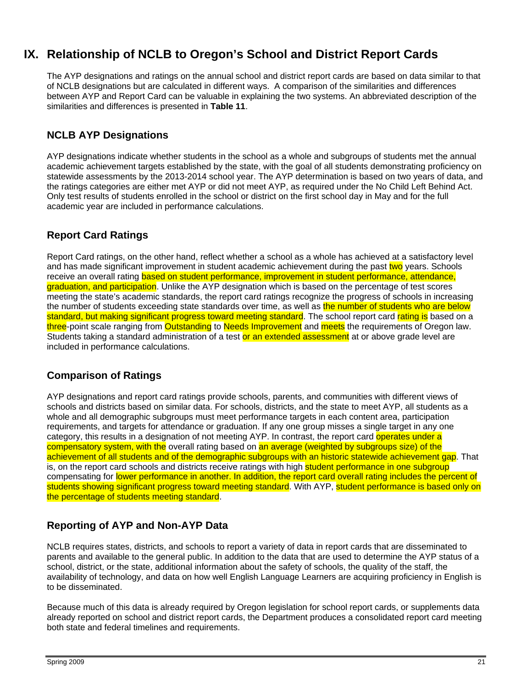# **IX. Relationship of NCLB to Oregon's School and District Report Cards**

The AYP designations and ratings on the annual school and district report cards are based on data similar to that of NCLB designations but are calculated in different ways. A comparison of the similarities and differences between AYP and Report Card can be valuable in explaining the two systems. An abbreviated description of the similarities and differences is presented in **Table 11**.

## **NCLB AYP Designations**

AYP designations indicate whether students in the school as a whole and subgroups of students met the annual academic achievement targets established by the state, with the goal of all students demonstrating proficiency on statewide assessments by the 2013-2014 school year. The AYP determination is based on two years of data, and the ratings categories are either met AYP or did not meet AYP, as required under the No Child Left Behind Act. Only test results of students enrolled in the school or district on the first school day in May and for the full academic year are included in performance calculations.

## **Report Card Ratings**

Report Card ratings, on the other hand, reflect whether a school as a whole has achieved at a satisfactory level and has made significant improvement in student academic achievement during the past two years. Schools receive an overall rating based on student performance, improvement in student performance, attendance, graduation, and participation. Unlike the AYP designation which is based on the percentage of test scores meeting the state's academic standards, the report card ratings recognize the progress of schools in increasing the number of students exceeding state standards over time, as well as the number of students who are below standard, but making significant progress toward meeting standard. The school report card rating is based on a three-point scale ranging from Outstanding to Needs Improvement and meets the requirements of Oregon law. Students taking a standard administration of a test or an extended assessment at or above grade level are included in performance calculations.

## **Comparison of Ratings**

AYP designations and report card ratings provide schools, parents, and communities with different views of schools and districts based on similar data. For schools, districts, and the state to meet AYP, all students as a whole and all demographic subgroups must meet performance targets in each content area, participation requirements, and targets for attendance or graduation. If any one group misses a single target in any one category, this results in a designation of not meeting AYP. In contrast, the report card operates under a compensatory system, with the overall rating based on an average (weighted by subgroups size) of the achievement of all students and of the demographic subgroups with an historic statewide achievement gap. That is, on the report card schools and districts receive ratings with high student performance in one subgroup compensating for lower performance in another. In addition, the report card overall rating includes the percent of students showing significant progress toward meeting standard. With AYP, student performance is based only on the percentage of students meeting standard.

## **Reporting of AYP and Non-AYP Data**

NCLB requires states, districts, and schools to report a variety of data in report cards that are disseminated to parents and available to the general public. In addition to the data that are used to determine the AYP status of a school, district, or the state, additional information about the safety of schools, the quality of the staff, the availability of technology, and data on how well English Language Learners are acquiring proficiency in English is to be disseminated.

Because much of this data is already required by Oregon legislation for school report cards, or supplements data already reported on school and district report cards, the Department produces a consolidated report card meeting both state and federal timelines and requirements.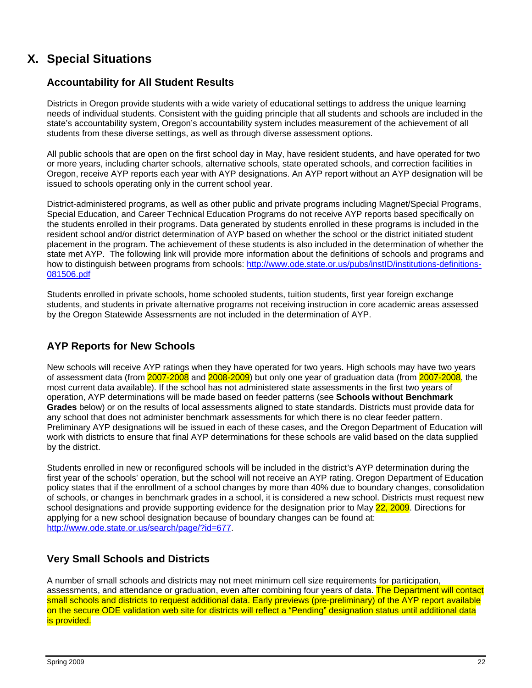# **X. Special Situations**

## **Accountability for All Student Results**

Districts in Oregon provide students with a wide variety of educational settings to address the unique learning needs of individual students. Consistent with the guiding principle that all students and schools are included in the state's accountability system, Oregon's accountability system includes measurement of the achievement of all students from these diverse settings, as well as through diverse assessment options.

All public schools that are open on the first school day in May, have resident students, and have operated for two or more years, including charter schools, alternative schools, state operated schools, and correction facilities in Oregon, receive AYP reports each year with AYP designations. An AYP report without an AYP designation will be issued to schools operating only in the current school year.

District-administered programs, as well as other public and private programs including Magnet/Special Programs, Special Education, and Career Technical Education Programs do not receive AYP reports based specifically on the students enrolled in their programs. Data generated by students enrolled in these programs is included in the resident school and/or district determination of AYP based on whether the school or the district initiated student placement in the program. The achievement of these students is also included in the determination of whether the state met AYP. The following link will provide more information about the definitions of schools and programs and how to distinguish between programs from schools: http://www.ode.state.or.us/pubs/instID/institutions-definitions-081506.pdf

Students enrolled in private schools, home schooled students, tuition students, first year foreign exchange students, and students in private alternative programs not receiving instruction in core academic areas assessed by the Oregon Statewide Assessments are not included in the determination of AYP.

## **AYP Reports for New Schools**

New schools will receive AYP ratings when they have operated for two years. High schools may have two years of assessment data (from 2007-2008 and 2008-2009) but only one year of graduation data (from 2007-2008, the most current data available). If the school has not administered state assessments in the first two years of operation, AYP determinations will be made based on feeder patterns (see **Schools without Benchmark Grades** below) or on the results of local assessments aligned to state standards. Districts must provide data for any school that does not administer benchmark assessments for which there is no clear feeder pattern. Preliminary AYP designations will be issued in each of these cases, and the Oregon Department of Education will work with districts to ensure that final AYP determinations for these schools are valid based on the data supplied by the district.

Students enrolled in new or reconfigured schools will be included in the district's AYP determination during the first year of the schools' operation, but the school will not receive an AYP rating. Oregon Department of Education policy states that if the enrollment of a school changes by more than 40% due to boundary changes, consolidation of schools, or changes in benchmark grades in a school, it is considered a new school. Districts must request new school designations and provide supporting evidence for the designation prior to May 22, 2009. Directions for applying for a new school designation because of boundary changes can be found at: http://www.ode.state.or.us/search/page/?id=677.

## **Very Small Schools and Districts**

A number of small schools and districts may not meet minimum cell size requirements for participation, assessments, and attendance or graduation, even after combining four years of data. The Department will contact small schools and districts to request additional data. Early previews (pre-preliminary) of the AYP report available on the secure ODE validation web site for districts will reflect a "Pending" designation status until additional data is provided.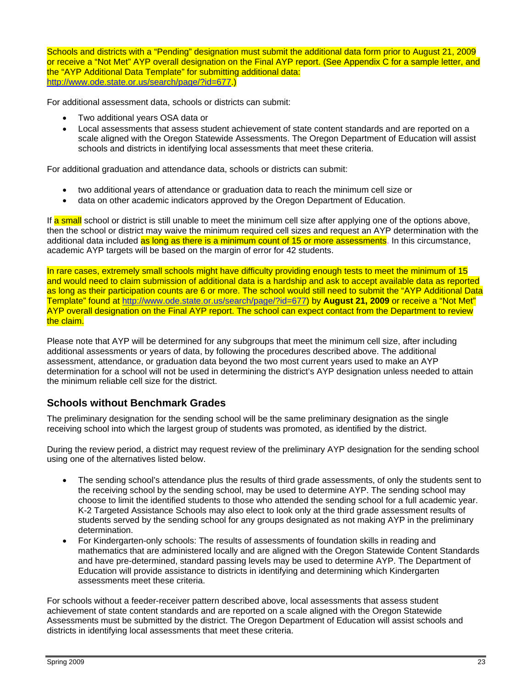Schools and districts with a "Pending" designation must submit the additional data form prior to August 21, 2009 or receive a "Not Met" AYP overall designation on the Final AYP report. (See Appendix C for a sample letter, and the "AYP Additional Data Template" for submitting additional data: http://www.ode.state.or.us/search/page/?id=677.

For additional assessment data, schools or districts can submit:

- Two additional years OSA data or
- Local assessments that assess student achievement of state content standards and are reported on a scale aligned with the Oregon Statewide Assessments. The Oregon Department of Education will assist schools and districts in identifying local assessments that meet these criteria.

For additional graduation and attendance data, schools or districts can submit:

- two additional years of attendance or graduation data to reach the minimum cell size or
- data on other academic indicators approved by the Oregon Department of Education.

If a small school or district is still unable to meet the minimum cell size after applying one of the options above, then the school or district may waive the minimum required cell sizes and request an AYP determination with the additional data included as long as there is a minimum count of 15 or more assessments. In this circumstance, academic AYP targets will be based on the margin of error for 42 students.

In rare cases, extremely small schools might have difficulty providing enough tests to meet the minimum of 15 and would need to claim submission of additional data is a hardship and ask to accept available data as reported as long as their participation counts are 6 or more. The school would still need to submit the "AYP Additional Data Template" found at http://www.ode.state.or.us/search/page/?id=677) by **August 21, 2009** or receive a "Not Met" AYP overall designation on the Final AYP report. The school can expect contact from the Department to review the claim.

Please note that AYP will be determined for any subgroups that meet the minimum cell size, after including additional assessments or years of data, by following the procedures described above. The additional assessment, attendance, or graduation data beyond the two most current years used to make an AYP determination for a school will not be used in determining the district's AYP designation unless needed to attain the minimum reliable cell size for the district.

## **Schools without Benchmark Grades**

The preliminary designation for the sending school will be the same preliminary designation as the single receiving school into which the largest group of students was promoted, as identified by the district.

During the review period, a district may request review of the preliminary AYP designation for the sending school using one of the alternatives listed below.

- The sending school's attendance plus the results of third grade assessments, of only the students sent to the receiving school by the sending school, may be used to determine AYP. The sending school may choose to limit the identified students to those who attended the sending school for a full academic year. K-2 Targeted Assistance Schools may also elect to look only at the third grade assessment results of students served by the sending school for any groups designated as not making AYP in the preliminary determination.
- For Kindergarten-only schools: The results of assessments of foundation skills in reading and mathematics that are administered locally and are aligned with the Oregon Statewide Content Standards and have pre-determined, standard passing levels may be used to determine AYP. The Department of Education will provide assistance to districts in identifying and determining which Kindergarten assessments meet these criteria.

For schools without a feeder-receiver pattern described above, local assessments that assess student achievement of state content standards and are reported on a scale aligned with the Oregon Statewide Assessments must be submitted by the district. The Oregon Department of Education will assist schools and districts in identifying local assessments that meet these criteria.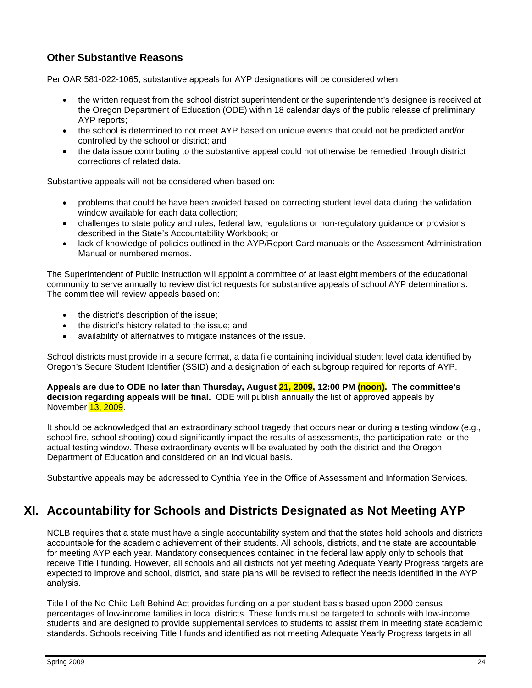## **Other Substantive Reasons**

Per OAR 581-022-1065, substantive appeals for AYP designations will be considered when:

- the written request from the school district superintendent or the superintendent's designee is received at the Oregon Department of Education (ODE) within 18 calendar days of the public release of preliminary AYP reports;
- the school is determined to not meet AYP based on unique events that could not be predicted and/or controlled by the school or district; and
- the data issue contributing to the substantive appeal could not otherwise be remedied through district corrections of related data.

Substantive appeals will not be considered when based on:

- problems that could be have been avoided based on correcting student level data during the validation window available for each data collection;
- challenges to state policy and rules, federal law, regulations or non-regulatory guidance or provisions described in the State's Accountability Workbook; or
- lack of knowledge of policies outlined in the AYP/Report Card manuals or the Assessment Administration Manual or numbered memos.

The Superintendent of Public Instruction will appoint a committee of at least eight members of the educational community to serve annually to review district requests for substantive appeals of school AYP determinations. The committee will review appeals based on:

- the district's description of the issue;
- the district's history related to the issue; and
- availability of alternatives to mitigate instances of the issue.

School districts must provide in a secure format, a data file containing individual student level data identified by Oregon's Secure Student Identifier (SSID) and a designation of each subgroup required for reports of AYP.

**Appeals are due to ODE no later than Thursday, August 21, 2009, 12:00 PM (noon). The committee's decision regarding appeals will be final.** ODE will publish annually the list of approved appeals by November 13, 2009.

It should be acknowledged that an extraordinary school tragedy that occurs near or during a testing window (e.g., school fire, school shooting) could significantly impact the results of assessments, the participation rate, or the actual testing window. These extraordinary events will be evaluated by both the district and the Oregon Department of Education and considered on an individual basis.

Substantive appeals may be addressed to Cynthia Yee in the Office of Assessment and Information Services.

## **XI. Accountability for Schools and Districts Designated as Not Meeting AYP**

NCLB requires that a state must have a single accountability system and that the states hold schools and districts accountable for the academic achievement of their students. All schools, districts, and the state are accountable for meeting AYP each year. Mandatory consequences contained in the federal law apply only to schools that receive Title I funding. However, all schools and all districts not yet meeting Adequate Yearly Progress targets are expected to improve and school, district, and state plans will be revised to reflect the needs identified in the AYP analysis.

Title I of the No Child Left Behind Act provides funding on a per student basis based upon 2000 census percentages of low-income families in local districts. These funds must be targeted to schools with low-income students and are designed to provide supplemental services to students to assist them in meeting state academic standards. Schools receiving Title I funds and identified as not meeting Adequate Yearly Progress targets in all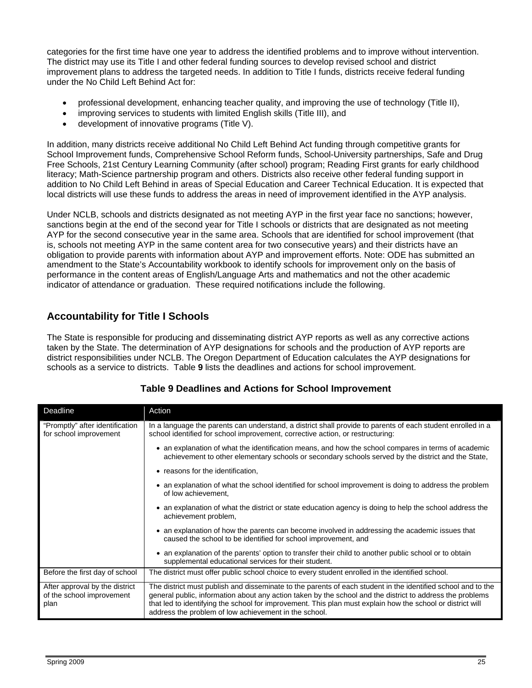categories for the first time have one year to address the identified problems and to improve without intervention. The district may use its Title I and other federal funding sources to develop revised school and district improvement plans to address the targeted needs. In addition to Title I funds, districts receive federal funding under the No Child Left Behind Act for:

- professional development, enhancing teacher quality, and improving the use of technology (Title II),
- improving services to students with limited English skills (Title III), and
- development of innovative programs (Title V).

In addition, many districts receive additional No Child Left Behind Act funding through competitive grants for School Improvement funds, Comprehensive School Reform funds, School-University partnerships, Safe and Drug Free Schools, 21st Century Learning Community (after school) program; Reading First grants for early childhood literacy; Math-Science partnership program and others. Districts also receive other federal funding support in addition to No Child Left Behind in areas of Special Education and Career Technical Education. It is expected that local districts will use these funds to address the areas in need of improvement identified in the AYP analysis.

Under NCLB, schools and districts designated as not meeting AYP in the first year face no sanctions; however, sanctions begin at the end of the second year for Title I schools or districts that are designated as not meeting AYP for the second consecutive year in the same area. Schools that are identified for school improvement (that is, schools not meeting AYP in the same content area for two consecutive years) and their districts have an obligation to provide parents with information about AYP and improvement efforts. Note: ODE has submitted an amendment to the State's Accountability workbook to identify schools for improvement only on the basis of performance in the content areas of English/Language Arts and mathematics and not the other academic indicator of attendance or graduation. These required notifications include the following.

## **Accountability for Title I Schools**

The State is responsible for producing and disseminating district AYP reports as well as any corrective actions taken by the State. The determination of AYP designations for schools and the production of AYP reports are district responsibilities under NCLB. The Oregon Department of Education calculates the AYP designations for schools as a service to districts. Table **9** lists the deadlines and actions for school improvement.

| Deadline                                                            | Action                                                                                                                                                                                                                                                                                                                                                                                           |
|---------------------------------------------------------------------|--------------------------------------------------------------------------------------------------------------------------------------------------------------------------------------------------------------------------------------------------------------------------------------------------------------------------------------------------------------------------------------------------|
| "Promptly" after identification<br>for school improvement           | In a language the parents can understand, a district shall provide to parents of each student enrolled in a<br>school identified for school improvement, corrective action, or restructuring:                                                                                                                                                                                                    |
|                                                                     | • an explanation of what the identification means, and how the school compares in terms of academic<br>achievement to other elementary schools or secondary schools served by the district and the State,                                                                                                                                                                                        |
|                                                                     | • reasons for the identification,                                                                                                                                                                                                                                                                                                                                                                |
|                                                                     | • an explanation of what the school identified for school improvement is doing to address the problem<br>of low achievement,                                                                                                                                                                                                                                                                     |
|                                                                     | • an explanation of what the district or state education agency is doing to help the school address the<br>achievement problem,                                                                                                                                                                                                                                                                  |
|                                                                     | • an explanation of how the parents can become involved in addressing the academic issues that<br>caused the school to be identified for school improvement, and                                                                                                                                                                                                                                 |
|                                                                     | • an explanation of the parents' option to transfer their child to another public school or to obtain<br>supplemental educational services for their student.                                                                                                                                                                                                                                    |
| Before the first day of school                                      | The district must offer public school choice to every student enrolled in the identified school.                                                                                                                                                                                                                                                                                                 |
| After approval by the district<br>of the school improvement<br>plan | The district must publish and disseminate to the parents of each student in the identified school and to the<br>general public, information about any action taken by the school and the district to address the problems<br>that led to identifying the school for improvement. This plan must explain how the school or district will<br>address the problem of low achievement in the school. |

## **Table 9 Deadlines and Actions for School Improvement**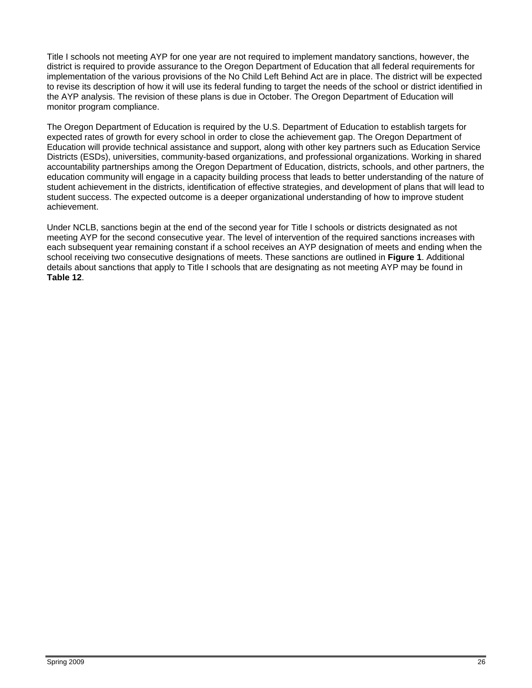Title I schools not meeting AYP for one year are not required to implement mandatory sanctions, however, the district is required to provide assurance to the Oregon Department of Education that all federal requirements for implementation of the various provisions of the No Child Left Behind Act are in place. The district will be expected to revise its description of how it will use its federal funding to target the needs of the school or district identified in the AYP analysis. The revision of these plans is due in October. The Oregon Department of Education will monitor program compliance.

The Oregon Department of Education is required by the U.S. Department of Education to establish targets for expected rates of growth for every school in order to close the achievement gap. The Oregon Department of Education will provide technical assistance and support, along with other key partners such as Education Service Districts (ESDs), universities, community-based organizations, and professional organizations. Working in shared accountability partnerships among the Oregon Department of Education, districts, schools, and other partners, the education community will engage in a capacity building process that leads to better understanding of the nature of student achievement in the districts, identification of effective strategies, and development of plans that will lead to student success. The expected outcome is a deeper organizational understanding of how to improve student achievement.

Under NCLB, sanctions begin at the end of the second year for Title I schools or districts designated as not meeting AYP for the second consecutive year. The level of intervention of the required sanctions increases with each subsequent year remaining constant if a school receives an AYP designation of meets and ending when the school receiving two consecutive designations of meets. These sanctions are outlined in **Figure 1**. Additional details about sanctions that apply to Title I schools that are designating as not meeting AYP may be found in **Table 12**.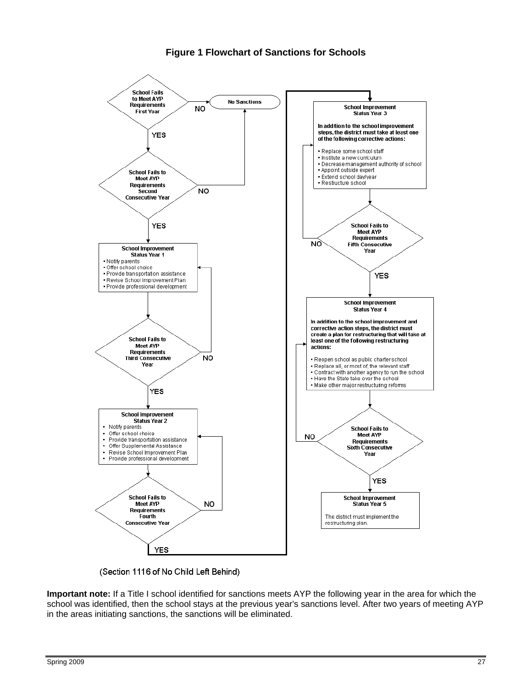## **Figure 1 Flowchart of Sanctions for Schools**



(Section 1116 of No Child Left Behind)

**Important note:** If a Title I school identified for sanctions meets AYP the following year in the area for which the school was identified, then the school stays at the previous year's sanctions level. After two years of meeting AYP in the areas initiating sanctions, the sanctions will be eliminated.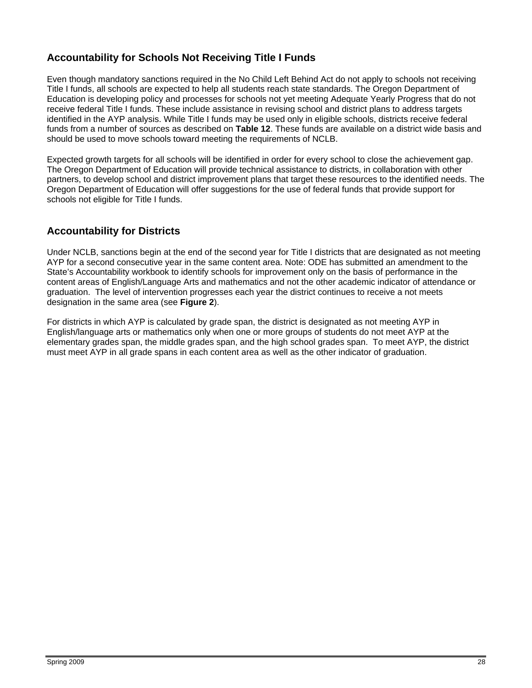## **Accountability for Schools Not Receiving Title I Funds**

Even though mandatory sanctions required in the No Child Left Behind Act do not apply to schools not receiving Title I funds, all schools are expected to help all students reach state standards. The Oregon Department of Education is developing policy and processes for schools not yet meeting Adequate Yearly Progress that do not receive federal Title I funds. These include assistance in revising school and district plans to address targets identified in the AYP analysis. While Title I funds may be used only in eligible schools, districts receive federal funds from a number of sources as described on **Table 12**. These funds are available on a district wide basis and should be used to move schools toward meeting the requirements of NCLB.

Expected growth targets for all schools will be identified in order for every school to close the achievement gap. The Oregon Department of Education will provide technical assistance to districts, in collaboration with other partners, to develop school and district improvement plans that target these resources to the identified needs. The Oregon Department of Education will offer suggestions for the use of federal funds that provide support for schools not eligible for Title I funds.

## **Accountability for Districts**

Under NCLB, sanctions begin at the end of the second year for Title I districts that are designated as not meeting AYP for a second consecutive year in the same content area. Note: ODE has submitted an amendment to the State's Accountability workbook to identify schools for improvement only on the basis of performance in the content areas of English/Language Arts and mathematics and not the other academic indicator of attendance or graduation. The level of intervention progresses each year the district continues to receive a not meets designation in the same area (see **Figure 2**).

For districts in which AYP is calculated by grade span, the district is designated as not meeting AYP in English/language arts or mathematics only when one or more groups of students do not meet AYP at the elementary grades span, the middle grades span, and the high school grades span. To meet AYP, the district must meet AYP in all grade spans in each content area as well as the other indicator of graduation.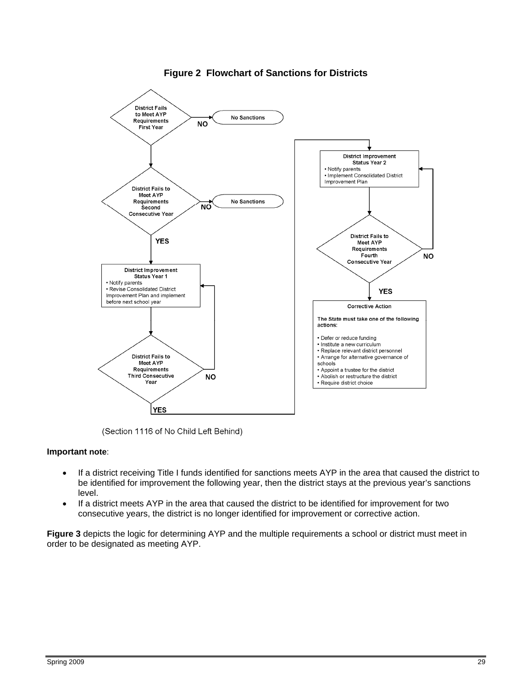

## **Figure 2 Flowchart of Sanctions for Districts**

(Section 1116 of No Child Left Behind)

#### **Important note**:

- If a district receiving Title I funds identified for sanctions meets AYP in the area that caused the district to be identified for improvement the following year, then the district stays at the previous year's sanctions level.
- If a district meets AYP in the area that caused the district to be identified for improvement for two consecutive years, the district is no longer identified for improvement or corrective action.

**Figure 3** depicts the logic for determining AYP and the multiple requirements a school or district must meet in order to be designated as meeting AYP.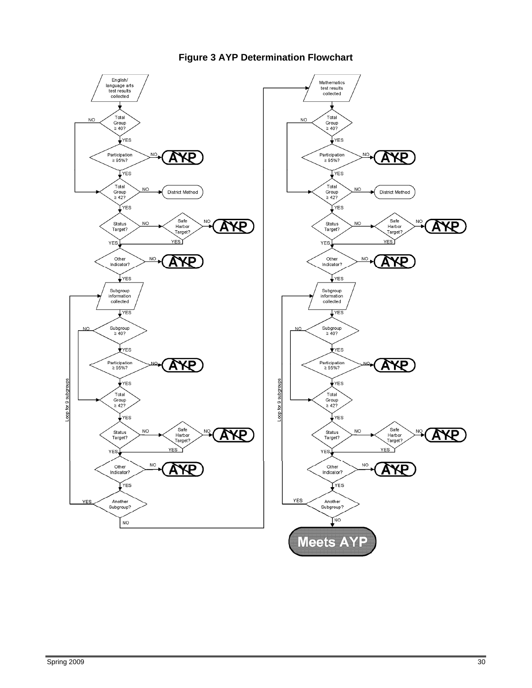

## **Figure 3 AYP Determination Flowchart**

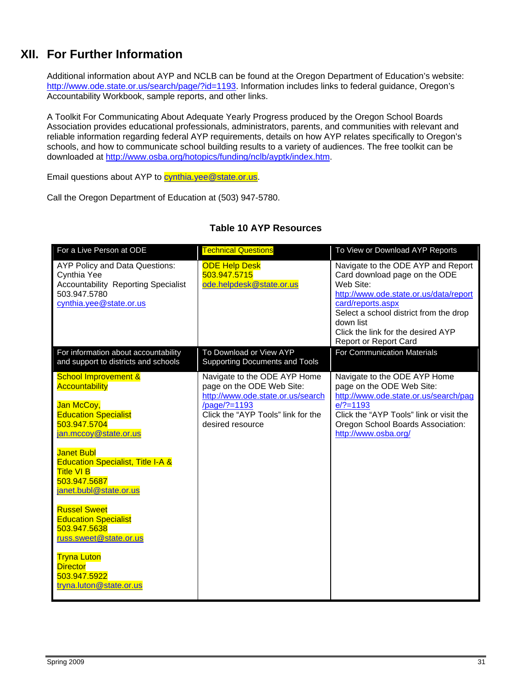# **XII. For Further Information**

Additional information about AYP and NCLB can be found at the Oregon Department of Education's website: http://www.ode.state.or.us/search/page/?id=1193. Information includes links to federal guidance, Oregon's Accountability Workbook, sample reports, and other links.

A Toolkit For Communicating About Adequate Yearly Progress produced by the Oregon School Boards Association provides educational professionals, administrators, parents, and communities with relevant and reliable information regarding federal AYP requirements, details on how AYP relates specifically to Oregon's schools, and how to communicate school building results to a variety of audiences. The free toolkit can be downloaded at http://www.osba.org/hotopics/funding/nclb/ayptk/index.htm.

Email questions about AYP to [cynthia.yee@state.or.us.](mailto:cynthia.yee@state.or.us)

Call the Oregon Department of Education at (503) 947-5780.

| For a Live Person at ODE                                                                                                               | <b>Technical Questions</b>                                                                     | To View or Download AYP Reports                                                                                                                                                                                                                                       |
|----------------------------------------------------------------------------------------------------------------------------------------|------------------------------------------------------------------------------------------------|-----------------------------------------------------------------------------------------------------------------------------------------------------------------------------------------------------------------------------------------------------------------------|
| AYP Policy and Data Questions:<br>Cynthia Yee<br><b>Accountability Reporting Specialist</b><br>503.947.5780<br>cynthia.yee@state.or.us | <b>ODE Help Desk</b><br>503.947.5715<br>ode.helpdesk@state.or.us                               | Navigate to the ODE AYP and Report<br>Card download page on the ODE<br>Web Site:<br>http://www.ode.state.or.us/data/report<br>card/reports.aspx<br>Select a school district from the drop<br>down list<br>Click the link for the desired AYP<br>Report or Report Card |
| For information about accountability<br>and support to districts and schools                                                           | To Download or View AYP<br><b>Supporting Documents and Tools</b>                               | <b>For Communication Materials</b>                                                                                                                                                                                                                                    |
| <b>School Improvement &amp;</b><br><b>Accountability</b>                                                                               | Navigate to the ODE AYP Home<br>page on the ODE Web Site:<br>http://www.ode.state.or.us/search | Navigate to the ODE AYP Home<br>page on the ODE Web Site:<br>http://www.ode.state.or.us/search/pag                                                                                                                                                                    |
| Jan McCoy,                                                                                                                             | /page/?=1193                                                                                   | $e$ /?=1193                                                                                                                                                                                                                                                           |
| <b>Education Specialist</b><br>503.947.5704                                                                                            | Click the "AYP Tools" link for the                                                             | Click the "AYP Tools" link or visit the                                                                                                                                                                                                                               |
| jan.mccoy@state.or.us                                                                                                                  | desired resource                                                                               | Oregon School Boards Association:<br>http://www.osba.org/                                                                                                                                                                                                             |
| <b>Janet Bubl</b>                                                                                                                      |                                                                                                |                                                                                                                                                                                                                                                                       |
| <b>Education Specialist, Title I-A &amp;</b>                                                                                           |                                                                                                |                                                                                                                                                                                                                                                                       |
| <b>Title VI B</b><br>503.947.5687                                                                                                      |                                                                                                |                                                                                                                                                                                                                                                                       |
| janet.bubl@state.or.us                                                                                                                 |                                                                                                |                                                                                                                                                                                                                                                                       |
| <b>Russel Sweet</b><br><b>Education Specialist</b><br>503.947.5638<br>russ.sweet@state.or.us                                           |                                                                                                |                                                                                                                                                                                                                                                                       |
| <b>Tryna Luton</b><br><b>Director</b><br>503.947.5922<br>tryna.luton@state.or.us                                                       |                                                                                                |                                                                                                                                                                                                                                                                       |

### **Table 10 AYP Resources**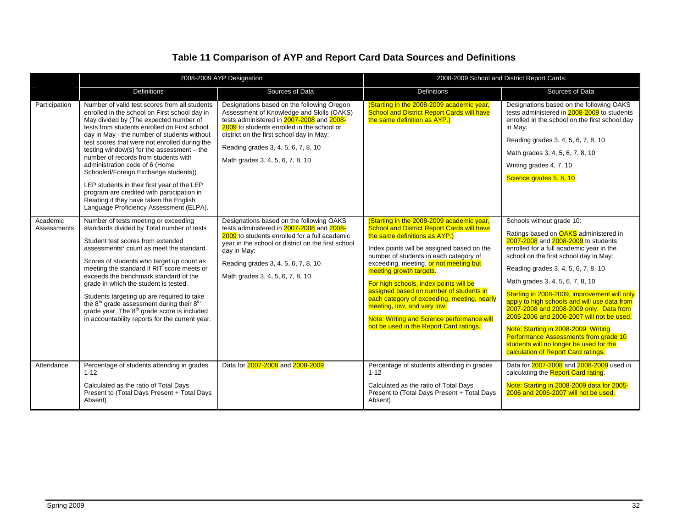## **Table 11 Comparison of AYP and Report Card Data Sources and Definitions**

|                         |                                                                                                                                                                                                                                                                                                                                                                                                                                                                                                                                                                                                                                              | 2008-2009 AYP Designation                                                                                                                                                                                                                                                                                 | 2008-2009 School and District Report Cards:                                                                                                                                                                                                                                                                                                                                                                                                                                                                                                              |                                                                                                                                                                                                                                                                                                                                                                                                                                                                                                                                                                                                                                             |  |  |
|-------------------------|----------------------------------------------------------------------------------------------------------------------------------------------------------------------------------------------------------------------------------------------------------------------------------------------------------------------------------------------------------------------------------------------------------------------------------------------------------------------------------------------------------------------------------------------------------------------------------------------------------------------------------------------|-----------------------------------------------------------------------------------------------------------------------------------------------------------------------------------------------------------------------------------------------------------------------------------------------------------|----------------------------------------------------------------------------------------------------------------------------------------------------------------------------------------------------------------------------------------------------------------------------------------------------------------------------------------------------------------------------------------------------------------------------------------------------------------------------------------------------------------------------------------------------------|---------------------------------------------------------------------------------------------------------------------------------------------------------------------------------------------------------------------------------------------------------------------------------------------------------------------------------------------------------------------------------------------------------------------------------------------------------------------------------------------------------------------------------------------------------------------------------------------------------------------------------------------|--|--|
|                         | <b>Definitions</b>                                                                                                                                                                                                                                                                                                                                                                                                                                                                                                                                                                                                                           | Sources of Data                                                                                                                                                                                                                                                                                           | <b>Definitions</b>                                                                                                                                                                                                                                                                                                                                                                                                                                                                                                                                       | Sources of Data                                                                                                                                                                                                                                                                                                                                                                                                                                                                                                                                                                                                                             |  |  |
| Participation           | Number of valid test scores from all students<br>enrolled in the school on First school day in<br>May divided by (The expected number of<br>tests from students enrolled on First school<br>day in May - the number of students without<br>test scores that were not enrolled during the<br>testing window(s) for the assessment $-$ the<br>number of records from students with<br>administration code of 6 (Home<br>Schooled/Foreign Exchange students))<br>LEP students in their first year of the LEP<br>program are credited with participation in<br>Reading if they have taken the English<br>Language Proficiency Assessment (ELPA). | Designations based on the following Oregon<br>Assessment of Knowledge and Skills (OAKS)<br>tests administered in 2007-2008 and 2008-<br>2009 to students enrolled in the school or<br>district on the first school day in May:<br>Reading grades 3, 4, 5, 6, 7, 8, 10<br>Math grades 3, 4, 5, 6, 7, 8, 10 | (Starting in the 2008-2009 academic year,<br><b>School and District Report Cards will have</b><br>the same definition as AYP.)                                                                                                                                                                                                                                                                                                                                                                                                                           | Designations based on the following OAKS<br>tests administered in 2008-2009 to students<br>enrolled in the school on the first school day<br>in May:<br>Reading grades 3, 4, 5, 6, 7, 8, 10<br>Math grades 3, 4, 5, 6, 7, 8, 10<br>Writing grades 4, 7, 10<br>Science grades 5, 8, 10                                                                                                                                                                                                                                                                                                                                                       |  |  |
| Academic<br>Assessments | Number of tests meeting or exceeding<br>standards divided by Total number of tests<br>Student test scores from extended<br>assessments* count as meet the standard.<br>Scores of students who target up count as<br>meeting the standard if RIT score meets or<br>exceeds the benchmark standard of the<br>grade in which the student is tested.<br>Students targeting up are required to take<br>the 8 <sup>th</sup> grade assessment during their 8 <sup>th</sup><br>grade year. The 8 <sup>th</sup> grade score is included<br>in accountability reports for the current year.                                                            | Designations based on the following OAKS<br>tests administered in 2007-2008 and 2008-<br>2009 to students enrolled for a full academic<br>year in the school or district on the first school<br>day in May:<br>Reading grades 3, 4, 5, 6, 7, 8, 10<br>Math grades 3, 4, 5, 6, 7, 8, 10                    | (Starting in the 2008-2009 academic year,<br><b>School and District Report Cards will have</b><br>the same definitions as AYP.)<br>Index points will be assigned based on the<br>number of students in each category of<br>exceeding, meeting, or not meeting but<br>meeting growth targets.<br>For high schools, index points will be<br>assigned based on number of students in<br>each category of exceeding, meeting, nearly<br>meeting, low, and very low.<br>Note: Writing and Science performance will<br>not be used in the Report Card ratings. | Schools without grade 10:<br>Ratings based on <b>OAKS</b> administered in<br>2007-2008 and 2008-2009 to students<br>enrolled for a full academic year in the<br>school on the first school day in May:<br>Reading grades 3, 4, 5, 6, 7, 8, 10<br>Math grades 3, 4, 5, 6, 7, 8, 10<br>Starting in 2008-2009, improvement will only<br>apply to high schools and will use data from<br>2007-2008 and 2008-2009 only. Data from<br>2005-2006 and 2006-2007 will not be used.<br>Note: Starting in 2008-2009 Writing<br>Performance Assessments from grade 10<br>students will no longer be used for the<br>calculation of Report Card ratings. |  |  |
| Attendance              | Percentage of students attending in grades<br>$1 - 12$                                                                                                                                                                                                                                                                                                                                                                                                                                                                                                                                                                                       | Data for 2007-2008 and 2008-2009                                                                                                                                                                                                                                                                          | Percentage of students attending in grades<br>$1 - 12$                                                                                                                                                                                                                                                                                                                                                                                                                                                                                                   | Data for 2007-2008 and 2008-2009 used in<br>calculating the Report Card rating.                                                                                                                                                                                                                                                                                                                                                                                                                                                                                                                                                             |  |  |
|                         | Calculated as the ratio of Total Days<br>Present to (Total Days Present + Total Days<br>Absent)                                                                                                                                                                                                                                                                                                                                                                                                                                                                                                                                              |                                                                                                                                                                                                                                                                                                           | Calculated as the ratio of Total Days<br>Present to (Total Days Present + Total Days<br>Absent)                                                                                                                                                                                                                                                                                                                                                                                                                                                          | Note: Starting in 2008-2009 data for 2005-<br>2006 and 2006-2007 will not be used.                                                                                                                                                                                                                                                                                                                                                                                                                                                                                                                                                          |  |  |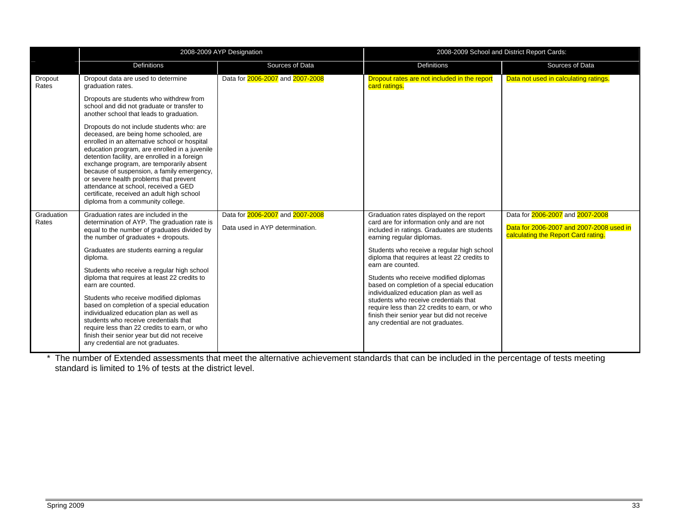|                     |                                                                                                                                                                                                                                                                                                                                                                                                                                                                                                                                                                                                                                                                         | 2008-2009 AYP Designation                                           | 2008-2009 School and District Report Cards:                                                                                                                                                                                                                                                                                                                                                                                                                                                                                                                                                            |                                                                                                                     |  |  |
|---------------------|-------------------------------------------------------------------------------------------------------------------------------------------------------------------------------------------------------------------------------------------------------------------------------------------------------------------------------------------------------------------------------------------------------------------------------------------------------------------------------------------------------------------------------------------------------------------------------------------------------------------------------------------------------------------------|---------------------------------------------------------------------|--------------------------------------------------------------------------------------------------------------------------------------------------------------------------------------------------------------------------------------------------------------------------------------------------------------------------------------------------------------------------------------------------------------------------------------------------------------------------------------------------------------------------------------------------------------------------------------------------------|---------------------------------------------------------------------------------------------------------------------|--|--|
|                     | <b>Definitions</b>                                                                                                                                                                                                                                                                                                                                                                                                                                                                                                                                                                                                                                                      | Sources of Data                                                     | Definitions                                                                                                                                                                                                                                                                                                                                                                                                                                                                                                                                                                                            | Sources of Data                                                                                                     |  |  |
| Dropout<br>Rates    | Dropout data are used to determine<br>graduation rates.                                                                                                                                                                                                                                                                                                                                                                                                                                                                                                                                                                                                                 | Data for 2006-2007 and 2007-2008                                    | Dropout rates are not included in the report<br>card ratings.                                                                                                                                                                                                                                                                                                                                                                                                                                                                                                                                          | Data not used in calculating ratings.                                                                               |  |  |
|                     | Dropouts are students who withdrew from<br>school and did not graduate or transfer to<br>another school that leads to graduation.                                                                                                                                                                                                                                                                                                                                                                                                                                                                                                                                       |                                                                     |                                                                                                                                                                                                                                                                                                                                                                                                                                                                                                                                                                                                        |                                                                                                                     |  |  |
|                     | Dropouts do not include students who: are<br>deceased, are being home schooled, are<br>enrolled in an alternative school or hospital<br>education program, are enrolled in a juvenile<br>detention facility, are enrolled in a foreign<br>exchange program, are temporarily absent<br>because of suspension, a family emergency,<br>or severe health problems that prevent<br>attendance at school, received a GED<br>certificate, received an adult high school<br>diploma from a community college.                                                                                                                                                                   |                                                                     |                                                                                                                                                                                                                                                                                                                                                                                                                                                                                                                                                                                                        |                                                                                                                     |  |  |
| Graduation<br>Rates | Graduation rates are included in the<br>determination of AYP. The graduation rate is<br>equal to the number of graduates divided by<br>the number of graduates + dropouts.<br>Graduates are students earning a regular<br>diploma.<br>Students who receive a regular high school<br>diploma that requires at least 22 credits to<br>earn are counted.<br>Students who receive modified diplomas<br>based on completion of a special education<br>individualized education plan as well as<br>students who receive credentials that<br>require less than 22 credits to earn, or who<br>finish their senior year but did not receive<br>any credential are not graduates. | Data for 2006-2007 and 2007-2008<br>Data used in AYP determination. | Graduation rates displayed on the report<br>card are for information only and are not<br>included in ratings. Graduates are students<br>earning regular diplomas.<br>Students who receive a regular high school<br>diploma that requires at least 22 credits to<br>earn are counted.<br>Students who receive modified diplomas<br>based on completion of a special education<br>individualized education plan as well as<br>students who receive credentials that<br>require less than 22 credits to earn, or who<br>finish their senior year but did not receive<br>any credential are not graduates. | Data for 2006-2007 and 2007-2008<br>Data for 2006-2007 and 2007-2008 used in<br>calculating the Report Card rating. |  |  |

\* The number of Extended assessments that meet the alternative achievement standards that can be included in the percentage of tests meeting standard is limited to 1% of tests at the district level.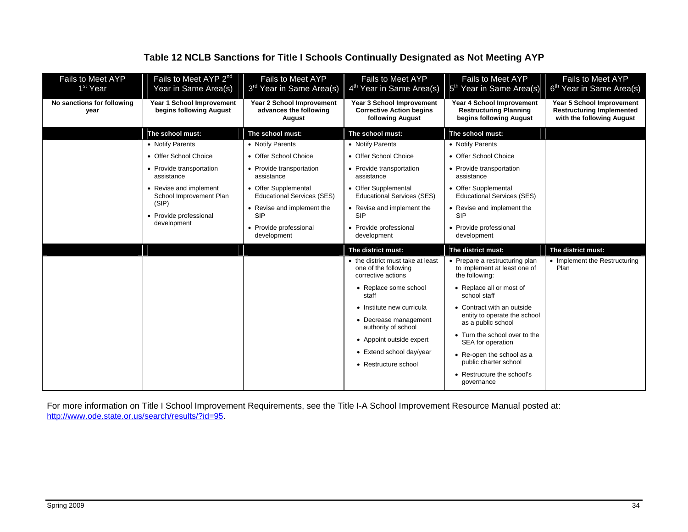## **Table 12 NCLB Sanctions for Title I Schools Continually Designated as Not Meeting AYP**

| Fails to Meet AYP<br>1 <sup>st</sup> Year | Fails to Meet AYP 2 <sup>nd</sup><br>Year in Same Area(s) | Fails to Meet AYP<br>3 <sup>rd</sup> Year in Same Area(s)     | Fails to Meet AYP<br>4 <sup>th</sup> Year in Same Area(s)                               | Fails to Meet AYP<br>5 <sup>th</sup> Year in Same Area(s)                             | Fails to Meet AYP<br>6 <sup>th</sup> Year in Same Area(s)                                         |
|-------------------------------------------|-----------------------------------------------------------|---------------------------------------------------------------|-----------------------------------------------------------------------------------------|---------------------------------------------------------------------------------------|---------------------------------------------------------------------------------------------------|
| No sanctions for following<br>year        | Year 1 School Improvement<br>begins following August      | Year 2 School Improvement<br>advances the following<br>August | Year 3 School Improvement<br><b>Corrective Action begins</b><br><b>following August</b> | Year 4 School Improvement<br><b>Restructuring Planning</b><br>begins following August | <b>Year 5 School Improvement</b><br><b>Restructuring Implemented</b><br>with the following August |
|                                           | The school must:                                          | The school must:                                              | The school must:                                                                        | The school must:                                                                      |                                                                                                   |
|                                           | • Notify Parents                                          | • Notify Parents                                              | • Notify Parents                                                                        | • Notify Parents                                                                      |                                                                                                   |
|                                           | • Offer School Choice                                     | • Offer School Choice                                         | • Offer School Choice                                                                   | • Offer School Choice                                                                 |                                                                                                   |
|                                           | • Provide transportation<br>assistance                    | • Provide transportation<br>assistance                        | • Provide transportation<br>assistance                                                  | • Provide transportation<br>assistance                                                |                                                                                                   |
|                                           | • Revise and implement<br>School Improvement Plan         | • Offer Supplemental<br><b>Educational Services (SES)</b>     | • Offer Supplemental<br><b>Educational Services (SES)</b>                               | • Offer Supplemental<br><b>Educational Services (SES)</b>                             |                                                                                                   |
|                                           | (SIP)<br>• Provide professional                           | • Revise and implement the<br><b>SIP</b>                      | • Revise and implement the<br><b>SIP</b>                                                | • Revise and implement the<br><b>SIP</b>                                              |                                                                                                   |
|                                           | development                                               | • Provide professional<br>development                         | • Provide professional<br>development                                                   | • Provide professional<br>development                                                 |                                                                                                   |
|                                           |                                                           |                                                               | The district must:                                                                      | The district must:                                                                    | The district must:                                                                                |
|                                           |                                                           |                                                               | • the district must take at least<br>one of the following<br>corrective actions         | • Prepare a restructuring plan<br>to implement at least one of<br>the following:      | • Implement the Restructuring<br>Plan                                                             |
|                                           |                                                           |                                                               | • Replace some school<br>staff                                                          | • Replace all or most of<br>school staff                                              |                                                                                                   |
|                                           |                                                           |                                                               |                                                                                         |                                                                                       |                                                                                                   |
|                                           |                                                           |                                                               | • Institute new curricula                                                               | • Contract with an outside                                                            |                                                                                                   |
|                                           |                                                           |                                                               | • Decrease management<br>authority of school                                            | entity to operate the school<br>as a public school                                    |                                                                                                   |
|                                           |                                                           |                                                               | • Appoint outside expert                                                                | • Turn the school over to the<br>SEA for operation                                    |                                                                                                   |
|                                           |                                                           |                                                               | • Extend school day/year                                                                | • Re-open the school as a                                                             |                                                                                                   |
|                                           |                                                           |                                                               | • Restructure school                                                                    | public charter school<br>• Restructure the school's                                   |                                                                                                   |

For more information on Title I School Improvement Requirements, see the Title I-A School Improvement Resource Manual posted at: http://www.ode.state.or.us/search/results/?id=95.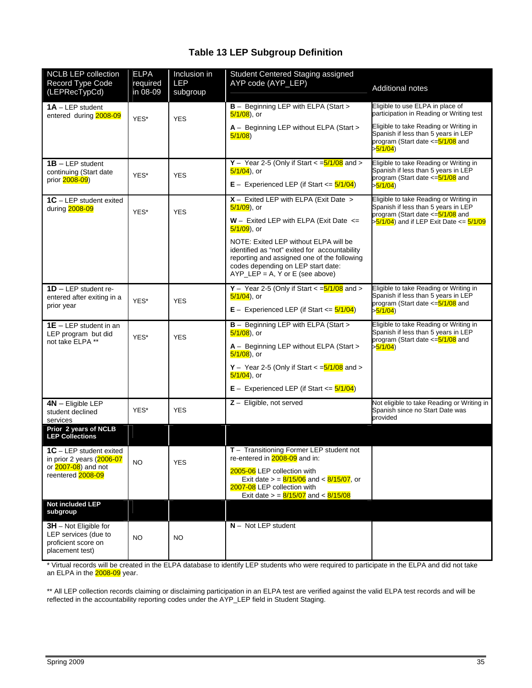## **Table 13 LEP Subgroup Definition**

| <b>NCLB LEP collection</b><br>Record Type Code<br>(LEPRecTypCd)                                  | <b>ELPA</b><br>required<br>in 08-09 | Inclusion in<br><b>LEP</b><br>subgroup | Student Centered Staging assigned<br>AYP code (AYP_LEP)                                                                                                                                                                                                  | <b>Additional notes</b>                                                                                                                                       |
|--------------------------------------------------------------------------------------------------|-------------------------------------|----------------------------------------|----------------------------------------------------------------------------------------------------------------------------------------------------------------------------------------------------------------------------------------------------------|---------------------------------------------------------------------------------------------------------------------------------------------------------------|
| $1A - LEP$ student<br>entered during 2008-09                                                     | YES*                                | <b>YES</b>                             | <b>B</b> - Beginning LEP with ELPA (Start ><br>$5/1/08$ ), or                                                                                                                                                                                            | Eligible to use ELPA in place of<br>participation in Reading or Writing test                                                                                  |
|                                                                                                  |                                     |                                        | A - Beginning LEP without ELPA (Start ><br>5/1/08                                                                                                                                                                                                        | Eligible to take Reading or Writing in<br>Spanish if less than 5 years in LEP<br>program (Start date <= 5/1/08 and<br>> <mark>5/1/04</mark> )                 |
| $1B - LEP$ student<br>continuing (Start date<br>prior 2008-09)                                   | YES*                                | <b>YES</b>                             | Y - Year 2-5 (Only if Start $\lt$ = $\frac{5}{108}$ and $\gt$<br>$5/1/04$ ), or<br>$E -$ Experienced LEP (if Start $\leq$ 5/1/04)                                                                                                                        | Eligible to take Reading or Writing in<br>Spanish if less than 5 years in LEP<br>program (Start date <= 5/1/08 and<br>> <mark>5/1/04</mark> )                 |
| $1C - LEP$ student exited<br>during 2008-09                                                      | YES*                                | <b>YES</b>                             | $X -$ Exited LEP with ELPA (Exit Date ><br>5/1/09), or<br>$W -$ Exited LEP with ELPA (Exit Date $\le$                                                                                                                                                    | Eligible to take Reading or Writing in<br>Spanish if less than 5 years in LEP<br>program (Start date <= 5/1/08 and<br>>5/1/04) and if LEP Exit Date <= 5/1/09 |
|                                                                                                  |                                     |                                        | $5/1/09$ ), or<br>NOTE: Exited LEP without ELPA will be<br>identified as "not" exited for accountability<br>reporting and assigned one of the following<br>codes depending on LEP start date:<br>$AYP_{E}E = A$ , Y or E (see above)                     |                                                                                                                                                               |
| $1D - LEP$ student re-<br>entered after exiting in a<br>prior year                               | YES*                                | <b>YES</b>                             | Y - Year 2-5 (Only if Start $\lt$ = $\frac{5}{108}$ and $\gt$<br>$5/1/04$ ), or<br>$E -$ Experienced LEP (if Start $\leq$ 5/1/04)                                                                                                                        | Eligible to take Reading or Writing in<br>Spanish if less than 5 years in LEP<br>program (Start date <= 5/1/08 and<br>> <mark>5/1/04</mark> )                 |
| $1E - LEP$ student in an<br>LEP program but did<br>not take ELPA **                              | YES*                                | <b>YES</b>                             | <b>B</b> - Beginning LEP with ELPA (Start ><br>$5/1/08$ ), or<br>A - Beginning LEP without ELPA (Start ><br>$5/1/08$ ), or<br>$Y -$ Year 2-5 (Only if Start $\lt = 5/1/08$ and $\gt$<br>$5/1/04$ ), or<br>$E -$ Experienced LEP (if Start $\leq$ 5/1/04) | Eligible to take Reading or Writing in<br>Spanish if less than 5 years in LEP<br>program (Start date <= 5/1/08 and<br>> <mark>5/1/04</mark> )                 |
| $4N -$ Eligible LEP<br>student declined<br>services                                              | YES*                                | <b>YES</b>                             | $Z -$ Eligible, not served                                                                                                                                                                                                                               | Not eligible to take Reading or Writing in<br>Spanish since no Start Date was<br>provided                                                                     |
| Prior 2 years of NCLB<br><b>LEP Collections</b>                                                  |                                     |                                        |                                                                                                                                                                                                                                                          |                                                                                                                                                               |
| 1C - LEP student exited<br>in prior 2 years (2006-07<br>or 2007-08) and not<br>reentered 2008-09 | <b>NO</b>                           | <b>YES</b>                             | $T -$ Transitioning Former LEP student not<br>re-entered in 2008-09 and in:<br>2005-06 LEP collection with<br>Exit date $> = \frac{8}{15/06}$ and $< \frac{8}{15/07}$ , or<br>2007-08 LEP collection with<br>Exit date $> = 8/15/07$ and $< 8/15/08$     |                                                                                                                                                               |
| Not included LEP<br>subgroup                                                                     |                                     |                                        |                                                                                                                                                                                                                                                          |                                                                                                                                                               |
| $3H$ – Not Eligible for<br>LEP services (due to<br>proficient score on<br>placement test)        | NO.                                 | <b>NO</b>                              | $N -$ Not LEP student                                                                                                                                                                                                                                    |                                                                                                                                                               |

\* Virtual records will be created in the ELPA database to identify LEP students who were required to participate in the ELPA and did not take an ELPA in the <mark>2008-09</mark> year.

\*\* All LEP collection records claiming or disclaiming participation in an ELPA test are verified against the valid ELPA test records and will be reflected in the accountability reporting codes under the AYP\_LEP field in Student Staging.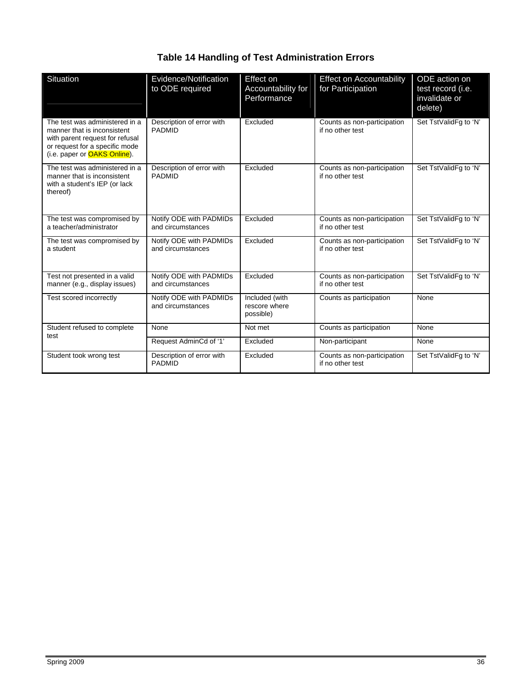## **Table 14 Handling of Test Administration Errors**

| Situation                                                                                                                                                                  | Evidence/Notification<br>to ODE required     | Effect on<br>Accountability for<br>Performance | <b>Effect on Accountability</b><br>for Participation | ODE action on<br>test record (i.e.<br>invalidate or<br>delete) |
|----------------------------------------------------------------------------------------------------------------------------------------------------------------------------|----------------------------------------------|------------------------------------------------|------------------------------------------------------|----------------------------------------------------------------|
| The test was administered in a<br>manner that is inconsistent<br>with parent request for refusal<br>or request for a specific mode<br>(i.e. paper or <b>OAKS Online</b> ). | Description of error with<br><b>PADMID</b>   | Excluded                                       | Counts as non-participation<br>if no other test      | Set TstValidFq to 'N'                                          |
| The test was administered in a<br>manner that is inconsistent<br>with a student's IEP (or lack<br>thereof)                                                                 | Description of error with<br><b>PADMID</b>   | Excluded                                       | Counts as non-participation<br>if no other test      | Set TstValidFq to 'N'                                          |
| The test was compromised by<br>a teacher/administrator                                                                                                                     | Notify ODE with PADMIDs<br>and circumstances | Excluded                                       | Counts as non-participation<br>if no other test      | Set TstValidFg to 'N'                                          |
| The test was compromised by<br>a student                                                                                                                                   | Notify ODE with PADMIDs<br>and circumstances | Excluded                                       | Counts as non-participation<br>if no other test      | Set TstValidFg to 'N'                                          |
| Test not presented in a valid<br>manner (e.g., display issues)                                                                                                             | Notify ODE with PADMIDs<br>and circumstances | Excluded                                       | Counts as non-participation<br>if no other test      | Set TstValidFg to 'N'                                          |
| Test scored incorrectly                                                                                                                                                    | Notify ODE with PADMIDs<br>and circumstances | Included (with<br>rescore where<br>possible)   | Counts as participation                              | None                                                           |
| Student refused to complete<br>test                                                                                                                                        | None                                         | Not met                                        | Counts as participation                              | None                                                           |
|                                                                                                                                                                            | Request AdminCd of '1'                       | Excluded                                       | Non-participant                                      | None                                                           |
| Student took wrong test                                                                                                                                                    | Description of error with<br><b>PADMID</b>   | Excluded                                       | Counts as non-participation<br>if no other test      | Set TstValidFg to 'N'                                          |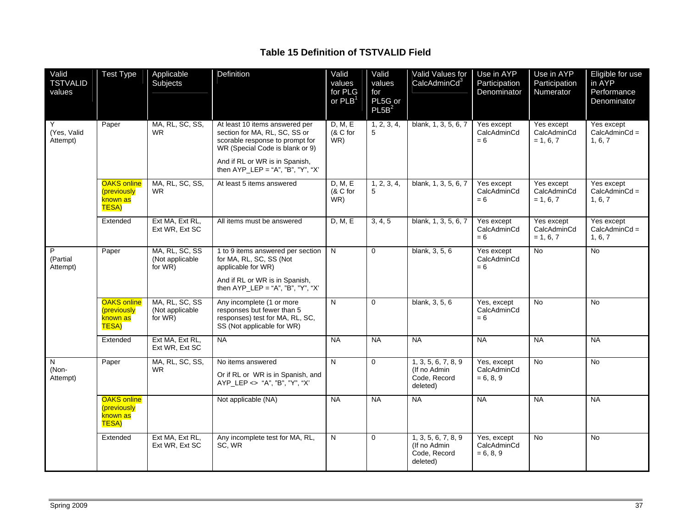### **Table 15 Definition of TSTVALID Field**

| Valid<br><b>TSTVALID</b><br>values     | <b>Test Type</b>                                                     | Applicable<br>Subjects                       | Definition                                                                                                                                                                                                     | Valid<br>values<br>for PLG<br>$or$ PLB <sup>1</sup> | Valid<br>values<br>for<br>PL5G or<br>PL5B <sup>2</sup> | Valid Values for<br>CalcAdminCd <sup>3</sup>                     | Use in AYP<br>Participation<br>Denominator | Use in AYP<br>Participation<br>Numerator | Eligible for use<br>in AYP<br>Performance<br>Denominator |
|----------------------------------------|----------------------------------------------------------------------|----------------------------------------------|----------------------------------------------------------------------------------------------------------------------------------------------------------------------------------------------------------------|-----------------------------------------------------|--------------------------------------------------------|------------------------------------------------------------------|--------------------------------------------|------------------------------------------|----------------------------------------------------------|
| Y<br>(Yes, Valid<br>Attempt)           | Paper                                                                | MA, RL, SC, SS,<br><b>WR</b>                 | At least 10 items answered per<br>section for MA, RL, SC, SS or<br>scorable response to prompt for<br>WR (Special Code is blank or 9)<br>And if RL or WR is in Spanish,<br>then $AYP_{E} = "A", "B", "Y", "X"$ | D. M. E<br>(& C for<br>WR)                          | 1, 2, 3, 4,<br>5                                       | blank, 1, 3, 5, 6, 7                                             | Yes except<br>CalcAdminCd<br>$= 6$         | Yes except<br>CalcAdminCd<br>$= 1, 6, 7$ | Yes except<br>$CalcAdminCd =$<br>1, 6, 7                 |
|                                        | <b>OAKS</b> online<br><i>(previously</i><br>known as<br><b>TESA)</b> | MA, RL, SC, SS,<br><b>WR</b>                 | At least 5 items answered                                                                                                                                                                                      | D, M, E<br>(& C for<br>WR)                          | 1, 2, 3, 4,<br>5                                       | blank, 1, 3, 5, 6, 7                                             | Yes except<br>CalcAdminCd<br>$= 6$         | Yes except<br>CalcAdminCd<br>$= 1.6.7$   | Yes except<br>$CalcAdminCd =$<br>1, 6, 7                 |
|                                        | Extended                                                             | Ext MA, Ext RL,<br>Ext WR, Ext SC            | All items must be answered                                                                                                                                                                                     | D, M, E                                             | 3, 4, 5                                                | blank, 1, 3, 5, 6, 7                                             | Yes except<br>CalcAdminCd<br>$= 6$         | Yes except<br>CalcAdminCd<br>$= 1, 6, 7$ | Yes except<br>$CalcAdminCd =$<br>1, 6, 7                 |
| $\overline{P}$<br>(Partial<br>Attempt) | Paper                                                                | MA, RL, SC, SS<br>(Not applicable<br>for WR) | 1 to 9 items answered per section<br>for MA, RL, SC, SS (Not<br>applicable for WR)<br>And if RL or WR is in Spanish,<br>then $AYP_{E} = "A", "B", "Y", "X"$                                                    | $\overline{N}$                                      | $\Omega$                                               | blank, 3, 5, 6                                                   | Yes except<br>CalcAdminCd<br>$= 6$         | No                                       | No                                                       |
|                                        | <b>OAKS</b> online<br>(previously<br>known as<br><b>TESA)</b>        | MA, RL, SC, SS<br>(Not applicable<br>for WR) | Any incomplete (1 or more<br>responses but fewer than 5<br>responses) test for MA, RL, SC,<br>SS (Not applicable for WR)                                                                                       | $\mathsf{N}$                                        | $\Omega$                                               | blank, 3, 5, 6                                                   | Yes, except<br>CalcAdminCd<br>$= 6$        | <b>No</b>                                | $\overline{N}$                                           |
|                                        | Extended                                                             | Ext MA, Ext RL,<br>Ext WR, Ext SC            | <b>NA</b>                                                                                                                                                                                                      | <b>NA</b>                                           | <b>NA</b>                                              | <b>NA</b>                                                        | $N_A$                                      | <b>NA</b>                                | <b>NA</b>                                                |
| N<br>(Non-<br>Attempt)                 | Paper                                                                | MA, RL, SC, SS,<br><b>WR</b>                 | No items answered<br>Or if RL or WR is in Spanish, and<br>AYP_LEP <> "A", "B", "Y", "X"                                                                                                                        | N                                                   | $\mathbf 0$                                            | 1, 3, 5, 6, 7, 8, 9<br>(If no Admin)<br>Code, Record<br>deleted) | Yes, except<br>CalcAdminCd<br>$= 6, 8, 9$  | No                                       | No                                                       |
|                                        | <b>OAKS online</b><br>(previously<br>known as<br><b>TESA)</b>        |                                              | Not applicable (NA)                                                                                                                                                                                            | <b>NA</b>                                           | $N_A$                                                  | <b>NA</b>                                                        | NA                                         | NA                                       | <b>NA</b>                                                |
|                                        | Extended                                                             | Ext MA, Ext RL,<br>Ext WR, Ext SC            | Any incomplete test for MA, RL,<br>SC, WR                                                                                                                                                                      | $\overline{N}$                                      | $\Omega$                                               | 1, 3, 5, 6, 7, 8, 9<br>(If no Admin)<br>Code, Record<br>deleted) | Yes, except<br>CalcAdminCd<br>$= 6, 8, 9$  | <b>No</b>                                | <b>No</b>                                                |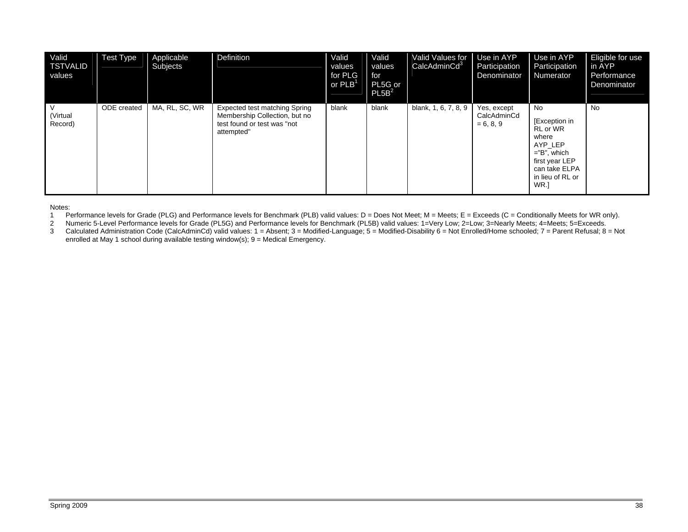| Valid<br>TSTVALID<br>values | <b>Test Type</b> | Applicable<br>Subjects | Definition                                                                                                  | Valid<br>values<br>for PLG<br>or $PLB1$ | Valid<br>values<br>for<br>PL5G or<br>PL5B <sup>2</sup> | Valid Values for   Use in AYP<br>CalcAdminCd <sup>3</sup> | Participation<br>Denominator              | Use in AYP<br>Participation<br>Numerator                                                                                              | Eligible for use<br>in AYP<br>Performance<br>Denominator |
|-----------------------------|------------------|------------------------|-------------------------------------------------------------------------------------------------------------|-----------------------------------------|--------------------------------------------------------|-----------------------------------------------------------|-------------------------------------------|---------------------------------------------------------------------------------------------------------------------------------------|----------------------------------------------------------|
| l V<br>(Virtual<br>Record)  | ODE created      | MA, RL, SC, WR         | Expected test matching Spring<br>Membership Collection, but no<br>test found or test was "not<br>attempted" | blank                                   | blank                                                  | blank, 1, 6, 7, 8, 9                                      | Yes, except<br>CalcAdminCd<br>$= 6, 8, 9$ | No.<br>[Exception in<br>RL or WR<br>where<br>AYP LEP<br>$=$ "B", which<br>first year LEP<br>can take ELPA<br>in lieu of RL or<br>WR.] | <b>No</b>                                                |

Notes:

1 Performance levels for Grade (PLG) and Performance levels for Benchmark (PLB) valid values: D = Does Not Meet; M = Meets; E = Exceeds (C = Conditionally Meets for WR only).

2 Numeric 5-Level Performance levels for Grade (PL5G) and Performance levels for Benchmark (PL5B) valid values: 1=Very Low; 2=Low; 3=Nearly Meets; 4=Meets; 5=Exceeds.

3 Calculated Administration Code (CalcAdminCd) valid values: 1 = Absent; 3 = Modified-Language; 5 = Modified-Disability 6 = Not Enrolled/Home schooled; 7 = Parent Refusal; 8 = Not enrolled at May 1 school during available testing window(s); 9 = Medical Emergency.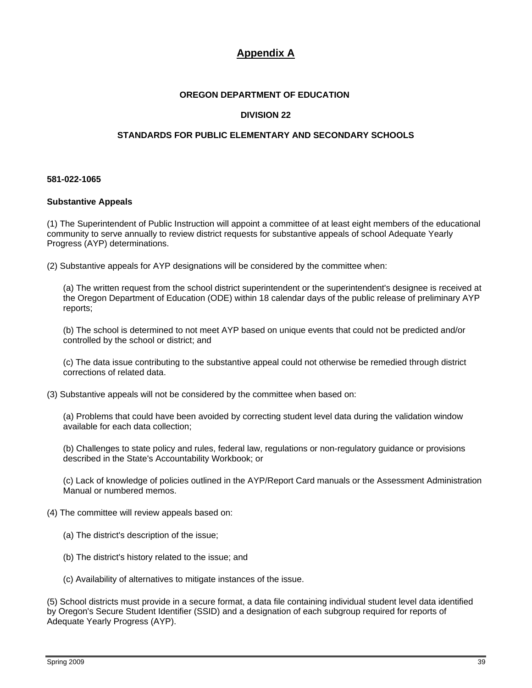## **Appendix A**

#### **OREGON DEPARTMENT OF EDUCATION**

#### **DIVISION 22**

#### **STANDARDS FOR PUBLIC ELEMENTARY AND SECONDARY SCHOOLS**

#### **581-022-1065**

#### **Substantive Appeals**

(1) The Superintendent of Public Instruction will appoint a committee of at least eight members of the educational community to serve annually to review district requests for substantive appeals of school Adequate Yearly Progress (AYP) determinations.

(2) Substantive appeals for AYP designations will be considered by the committee when:

(a) The written request from the school district superintendent or the superintendent's designee is received at the Oregon Department of Education (ODE) within 18 calendar days of the public release of preliminary AYP reports;

(b) The school is determined to not meet AYP based on unique events that could not be predicted and/or controlled by the school or district; and

(c) The data issue contributing to the substantive appeal could not otherwise be remedied through district corrections of related data.

(3) Substantive appeals will not be considered by the committee when based on:

(a) Problems that could have been avoided by correcting student level data during the validation window available for each data collection;

(b) Challenges to state policy and rules, federal law, regulations or non-regulatory guidance or provisions described in the State's Accountability Workbook; or

(c) Lack of knowledge of policies outlined in the AYP/Report Card manuals or the Assessment Administration Manual or numbered memos.

- (4) The committee will review appeals based on:
	- (a) The district's description of the issue;
	- (b) The district's history related to the issue; and
	- (c) Availability of alternatives to mitigate instances of the issue.

(5) School districts must provide in a secure format, a data file containing individual student level data identified by Oregon's Secure Student Identifier (SSID) and a designation of each subgroup required for reports of Adequate Yearly Progress (AYP).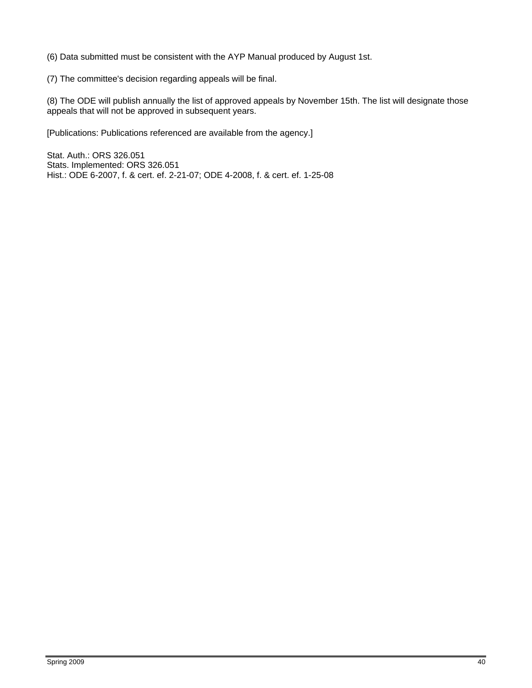(6) Data submitted must be consistent with the AYP Manual produced by August 1st.

(7) The committee's decision regarding appeals will be final.

(8) The ODE will publish annually the list of approved appeals by November 15th. The list will designate those appeals that will not be approved in subsequent years.

[Publications: Publications referenced are available from the agency.]

Stat. Auth.: ORS 326.051 Stats. Implemented: ORS 326.051 Hist.: ODE 6-2007, f. & cert. ef. 2-21-07; ODE 4-2008, f. & cert. ef. 1-25-08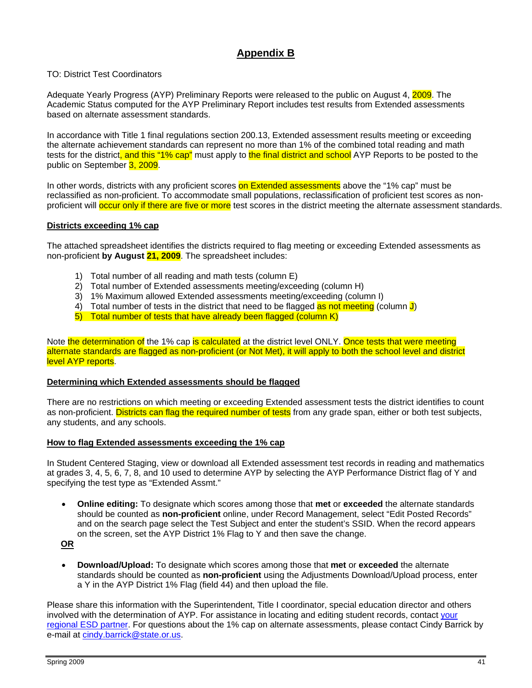## **Appendix B**

#### TO: District Test Coordinators

Adequate Yearly Progress (AYP) Preliminary Reports were released to the public on August 4, 2009. The Academic Status computed for the AYP Preliminary Report includes test results from Extended assessments based on alternate assessment standards.

In accordance with Title 1 final regulations section 200.13, Extended assessment results meeting or exceeding the alternate achievement standards can represent no more than 1% of the combined total reading and math tests for the district, and this "1% cap" must apply to the final district and school AYP Reports to be posted to the public on September 3, 2009.

In other words, districts with any proficient scores on Extended assessments above the "1% cap" must be reclassified as non-proficient. To accommodate small populations, reclassification of proficient test scores as nonproficient will **occur only if there are five or more** test scores in the district meeting the alternate assessment standards.

#### **Districts exceeding 1% cap**

The attached spreadsheet identifies the districts required to flag meeting or exceeding Extended assessments as non-proficient **by August 21, 2009**. The spreadsheet includes:

- 1) Total number of all reading and math tests (column E)
- 2) Total number of Extended assessments meeting/exceeding (column H)
- 3) 1% Maximum allowed Extended assessments meeting/exceeding (column I)
- 4) Total number of tests in the district that need to be flagged as not meeting (column J)
- 5) Total number of tests that have already been flagged (column K)

Note the determination of the 1% cap is calculated at the district level ONLY. Once tests that were meeting alternate standards are flagged as non-proficient (or Not Met), it will apply to both the school level and district level AYP reports.

#### **Determining which Extended assessments should be flagged**

There are no restrictions on which meeting or exceeding Extended assessment tests the district identifies to count as non-proficient. Districts can flag the required number of tests from any grade span, either or both test subjects, any students, and any schools.

#### **How to flag Extended assessments exceeding the 1% cap**

In Student Centered Staging, view or download all Extended assessment test records in reading and mathematics at grades 3, 4, 5, 6, 7, 8, and 10 used to determine AYP by selecting the AYP Performance District flag of Y and specifying the test type as "Extended Assmt."

• **Online editing:** To designate which scores among those that **met** or **exceeded** the alternate standards should be counted as **non-proficient** online, under Record Management, select "Edit Posted Records" and on the search page select the Test Subject and enter the student's SSID. When the record appears on the screen, set the AYP District 1% Flag to Y and then save the change.

**OR**

• **Download/Upload:** To designate which scores among those that **met** or **exceeded** the alternate standards should be counted as **non-proficient** using the Adjustments Download/Upload process, enter a Y in the AYP District 1% Flag (field 44) and then upload the file.

Please share this information with the Superintendent, Title I coordinator, special education director and others involved with the determination of AYP. For assistance in locating and editing student records, contact your [regional ESD partner.](http://www.ode.state.or.us/wma/teachlearn/testing/oaks/esdpartners0910.pdf) For questions about the 1% cap on alternate assessments, please contact Cindy Barrick by e-mail at [cindy.barrick@state.or.us](mailto:cindy.barrick@state.or.us).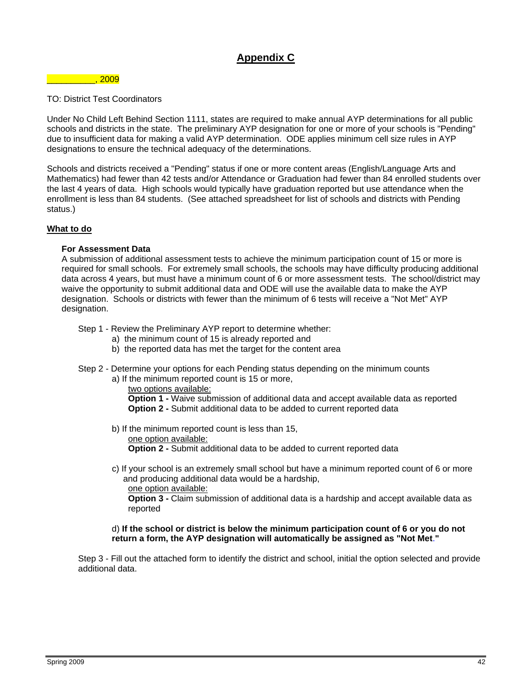## **Appendix C**

#### $\overline{\phantom{0}}$  , 2009  $\overline{\phantom{0}}$

#### TO: District Test Coordinators

Under No Child Left Behind Section 1111, states are required to make annual AYP determinations for all public schools and districts in the state. The preliminary AYP designation for one or more of your schools is "Pending" due to insufficient data for making a valid AYP determination. ODE applies minimum cell size rules in AYP designations to ensure the technical adequacy of the determinations.

Schools and districts received a "Pending" status if one or more content areas (English/Language Arts and Mathematics) had fewer than 42 tests and/or Attendance or Graduation had fewer than 84 enrolled students over the last 4 years of data. High schools would typically have graduation reported but use attendance when the enrollment is less than 84 students. (See attached spreadsheet for list of schools and districts with Pending status.)

#### **What to do**

#### **For Assessment Data**

A submission of additional assessment tests to achieve the minimum participation count of 15 or more is required for small schools. For extremely small schools, the schools may have difficulty producing additional data across 4 years, but must have a minimum count of 6 or more assessment tests. The school/district may waive the opportunity to submit additional data and ODE will use the available data to make the AYP designation. Schools or districts with fewer than the minimum of 6 tests will receive a "Not Met" AYP designation.

Step 1 - Review the Preliminary AYP report to determine whether:

- a) the minimum count of 15 is already reported and
- b) the reported data has met the target for the content area
- Step 2 Determine your options for each Pending status depending on the minimum counts
	- a) If the minimum reported count is 15 or more,

two options available: **Option 1 - Waive submission of additional data and accept available data as reported Option 2 -** Submit additional data to be added to current reported data

- b) If the minimum reported count is less than 15,
	- one option available:

**Option 2 -** Submit additional data to be added to current reported data

c) If your school is an extremely small school but have a minimum reported count of 6 or more and producing additional data would be a hardship,

one option available:

**Option 3 -** Claim submission of additional data is a hardship and accept available data as reported

#### d) **If the school or district is below the minimum participation count of 6 or you do not return a form, the AYP designation will automatically be assigned as "Not Met**.**"**

Step 3 - Fill out the attached form to identify the district and school, initial the option selected and provide additional data.